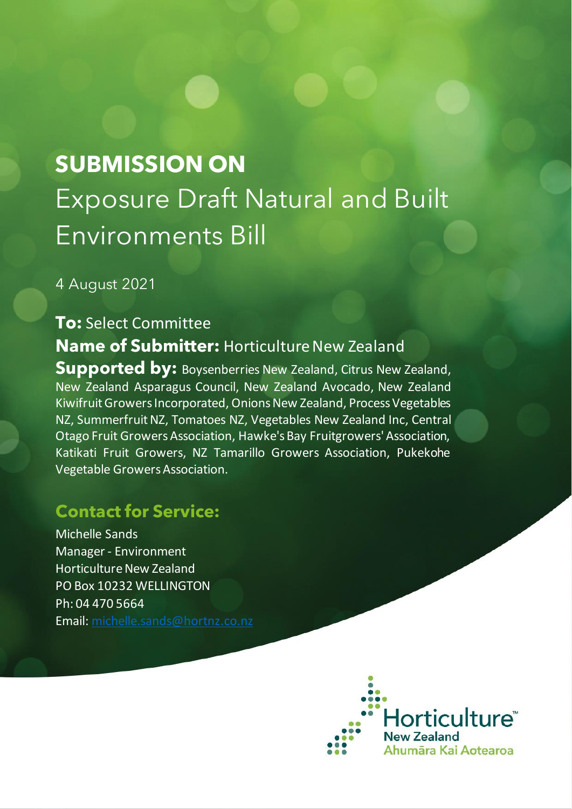## **SUBMISSION ON** Exposure Draft Natural and Built Environments Bill

4 August 2021

## **To:** Select Committee **Name of Submitter:** Horticulture New Zealand **Supported by: Boysenberries New Zealand, Citrus New Zealand,** New Zealand Asparagus Council, New Zealand Avocado, New Zealand Kiwifruit Growers Incorporated, Onions New Zealand, Process Vegetables NZ, Summerfruit NZ, Tomatoes NZ, Vegetables New Zealand Inc, Central Otago Fruit Growers Association, Hawke's Bay Fruitgrowers' Association, Katikati Fruit Growers, NZ Tamarillo Growers Association, Pukekohe Vegetable Growers Association.

## **Contact for Service:**

Michelle Sands Manager - Environment Horticulture New Zealand PO Box 10232 WELLINGTON Ph: 04 470 5664 Email: [michelle.sands@hortnz.co.nz](mailto:michelle.sands@hortnz.co.nz)

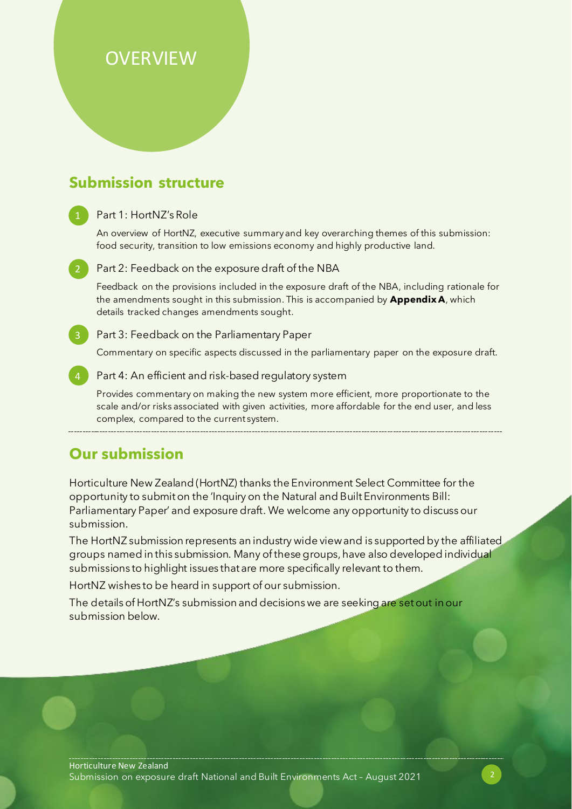## **OVERVIEW**

## **Submission structure**

#### Part 1: HortNZ's Role

An overview of HortNZ, executive summary and key overarching themes of this submission: food security, transition to low emissions economy and highly productive land.

Part 2: Feedback on the exposure draft of the NBA Feedback on the provisions included in the exposure draft of the NBA, including rationale for the amendments sought in this submission. This is accompanied by **Appendix A**, which details tracked changes amendments sought.

#### **Part 3: Feedback on the Parliamentary Paper**

Commentary on specific aspects discussed in the parliamentary paper on the exposure draft.

Part 4: An efficient and risk-based regulatory system

Provides commentary on making the new system more efficient, more proportionate to the scale and/or risks associated with given activities, more affordable for the end user, and less complex, compared to the current system.

## **Our submission**

Horticulture New Zealand (HortNZ) thanks the Environment Select Committee for the opportunity to submit on the 'Inquiry on the Natural and Built Environments Bill: Parliamentary Paper' and exposure draft. We welcome any opportunity to discuss our submission.

The HortNZ submission represents an industry wide view and is supported by the affiliated groups named in this submission. Many of these groups, have also developed individual submissions to highlight issues that are more specifically relevant to them.

HortNZ wishes to be heard in support of our submission.

The details of HortNZ's submission and decisions we are seeking are set out in our submission below.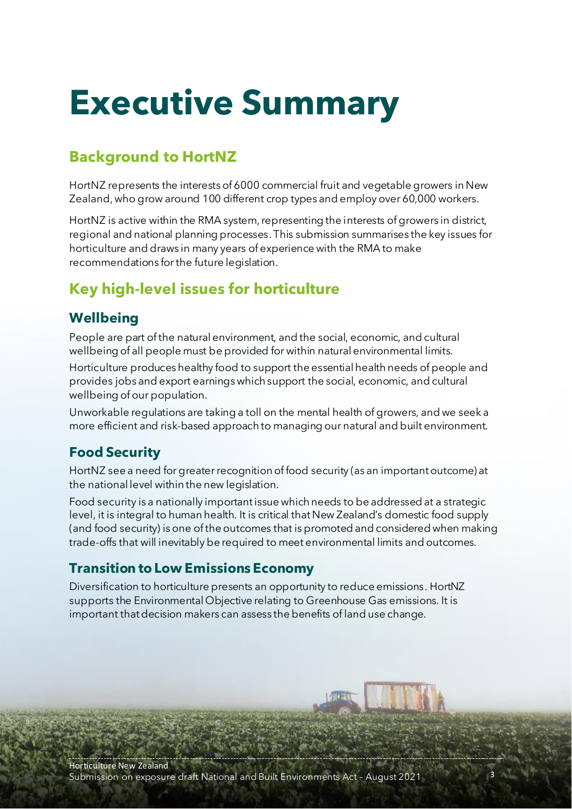## **Executive Summary**

## **Background to HortNZ**

HortNZ represents the interests of 6000 commercial fruit and vegetable growers in New Zealand, who grow around 100 different crop types and employ over 60,000 workers.

HortNZ is active within the RMA system, representing the interests of growers in district, regional and national planning processes. This submission summarises the key issues for horticulture and draws in many years of experience with the RMA to make recommendations for the future legislation.

## **Key high-level issues for horticulture**

## **Wellbeing**

People are part of the natural environment, and the social, economic, and cultural wellbeing of all people must be provided for within natural environmental limits.

Horticulture produces healthy food to support the essential health needs of people and provides jobs and export earnings which support the social, economic, and cultural wellbeing of our population.

Unworkable regulations are taking a toll on the mental health of growers, and we seek a more efficient and risk-based approach to managing our natural and built environment.

## **Food Security**

HortNZ see a need for greater recognition of food security (as an important outcome) at the national level within the new legislation.

Food security is a nationally important issue which needs to be addressed at a strategic level, it is integral to human health. It is critical that New Zealand's domestic food supply (and food security) is one of the outcomes that is promoted and considered when making trade-offs that will inevitably be required to meet environmental limits and outcomes.

## **Transition to Low Emissions Economy**

Diversification to horticulture presents an opportunity to reduce emissions. HortNZ supports the Environmental Objective relating to Greenhouse Gas emissions. It is important that decision makers can assess the benefits of land use change.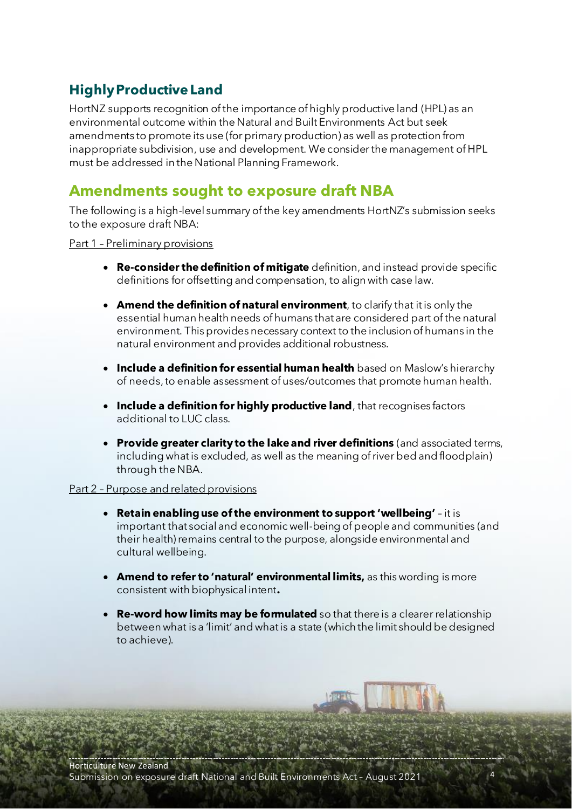## **Highly Productive Land**

HortNZ supports recognition of the importance of highly productive land (HPL) as an environmental outcome within the Natural and Built Environments Act but seek amendments to promote its use (for primary production) as well as protection from inappropriate subdivision, use and development. We consider the management of HPL must be addressed in the National Planning Framework.

## **Amendments sought to exposure draft NBA**

The following is a high-level summary of the key amendments HortNZ's submission seeks to the exposure draft NBA:

Part 1 – Preliminary provisions

- **Re-consider the definition of mitigate** definition, and instead provide specific definitions for offsetting and compensation, to align with case law.
- **Amend the definition of natural environment**, to clarify that it is only the essential human health needs of humans that are considered part of the natural environment. This provides necessary context to the inclusion of humans in the natural environment and provides additional robustness.
- **Include a definition for essential human health** based on Maslow's hierarchy of needs, to enable assessment of uses/outcomes that promote human health.
- **Include a definition for highly productive land**, that recognises factors additional to LUC class.
- **Provide greater clarity to the lake and river definitions** (and associated terms, including what is excluded, as well as the meaning of river bed and floodplain) through the NBA.

#### Part 2 – Purpose and related provisions

- **Retain enabling use of the environment to support 'wellbeing'** it is important that social and economic well-being of people and communities (and their health) remains central to the purpose, alongside environmental and cultural wellbeing.
- **Amend to refer to 'natural' environmental limits,** as this wording is more consistent with biophysical intent**.**
- **Re-word how limits may be formulated** so that there is a clearer relationship between what is a 'limit' and what is a state (which the limit should be designed to achieve).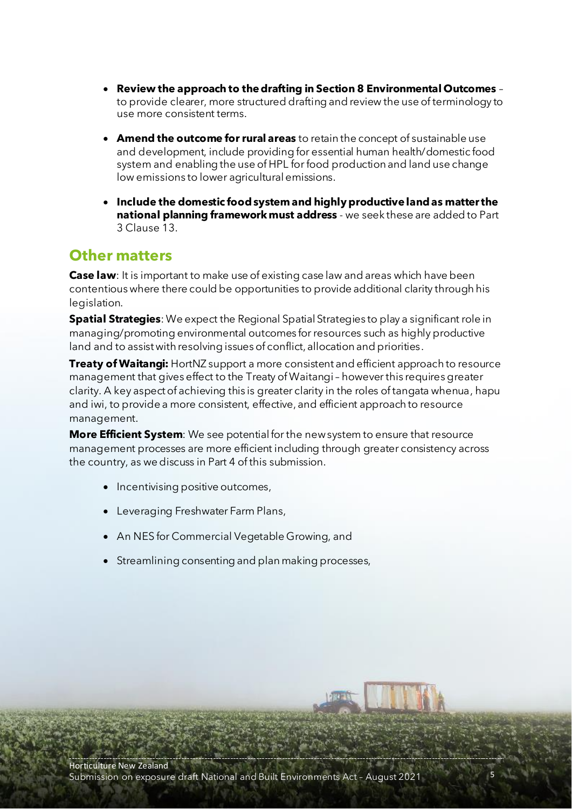- **Review the approach to the drafting in Section 8 Environmental Outcomes**  to provide clearer, more structured drafting and review the use of terminology to use more consistent terms.
- **Amend the outcome for rural areas** to retain the concept of sustainable use and development, include providing for essential human health/domestic food system and enabling the use of HPL for food production and land use change low emissions to lower agricultural emissions.
- **Include the domestic food system and highly productive land as matter the national planning framework must address** - we seek these are added to Part 3 Clause 13.

## **Other matters**

**Case law**: It is important to make use of existing case law and areas which have been contentious where there could be opportunities to provide additional clarity through his legislation.

**Spatial Strategies**: We expect the Regional Spatial Strategies to play a significant role in managing/promoting environmental outcomes for resources such as highly productive land and to assist with resolving issues of conflict, allocation and priorities.

**Treaty of Waitangi:** HortNZ support a more consistent and efficient approach to resource management that gives effect to the Treaty of Waitangi-however this requires greater clarity. A key aspect of achieving this is greater clarity in the roles of tangata whenua, hapu and iwi, to provide a more consistent, effective, and efficient approach to resource management.

**More Efficient System**: We see potential for the new system to ensure that resource management processes are more efficient including through greater consistency across the country, as we discuss in Part 4 of this submission.

- Incentivising positive outcomes,
- Leveraging Freshwater Farm Plans,
- An NES for Commercial Vegetable Growing, and
- Streamlining consenting and plan making processes,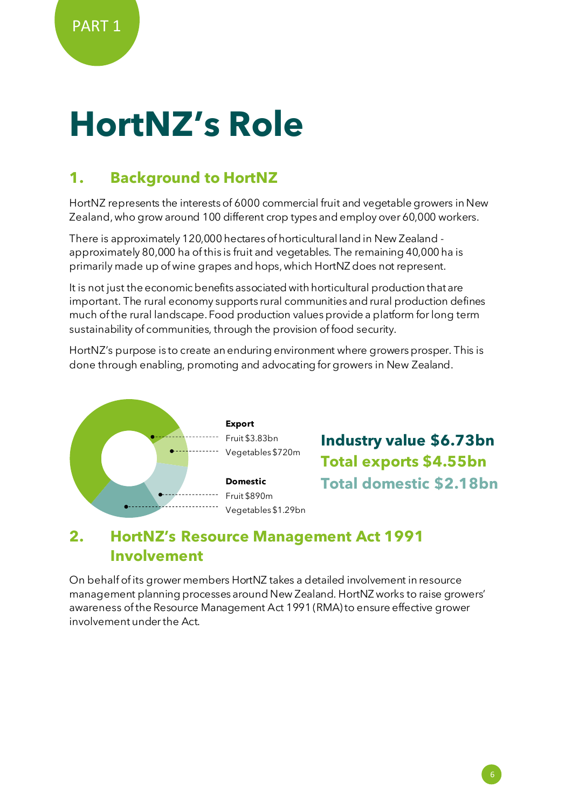## **HortNZ's Role**

## **1. Background to HortNZ**

HortNZ represents the interests of 6000 commercial fruit and vegetable growers in New Zealand, who grow around 100 different crop types and employ over 60,000 workers.

There is approximately 120,000 hectares of horticultural land in New Zealand approximately 80,000 ha of this is fruit and vegetables. The remaining 40,000 ha is primarily made up of wine grapes and hops, which HortNZ does not represent.

It is not just the economic benefits associated with horticultural production that are important. The rural economy supports rural communities and rural production defines much of the rural landscape. Food production values provide a platform for long term sustainability of communities, through the provision of food security.

HortNZ's purpose is to create an enduring environment where growers prosper. This is done through enabling, promoting and advocating for growers in New Zealand.



**Industry value \$6.73bn Total exports \$4.55bn Total domestic \$2.18bn**

## **2. HortNZ's Resource Management Act 1991 Involvement**

On behalf of its grower members HortNZ takes a detailed involvement in resource management planning processes around New Zealand. HortNZ works to raise growers' awareness of the Resource Management Act 1991 (RMA) to ensure effective grower involvement under the Act.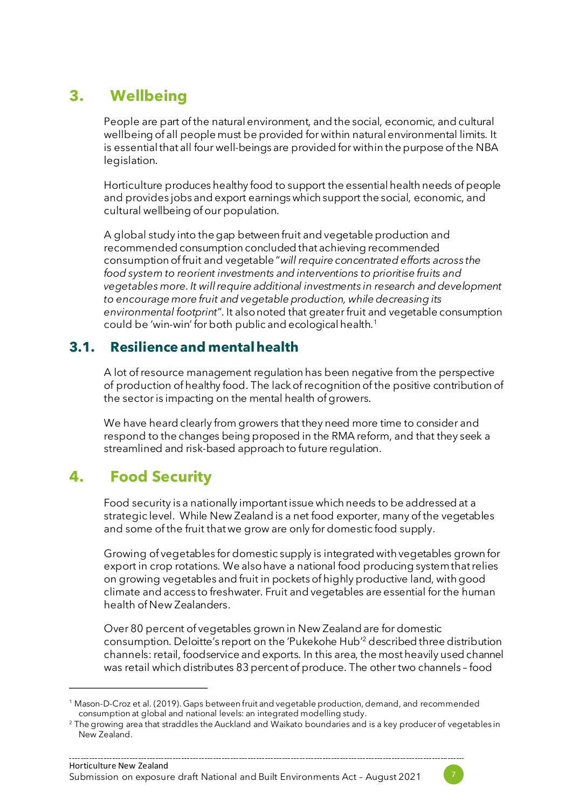## **3. Wellbeing**

People are part of the natural environment, and the social, economic, and cultural wellbeing of all people must be provided for within natural environmental limits. It is essential that all four well-beings are provided for within the purpose of the NBA legislation.

Horticulture produces healthy food to support the essential health needs of people and provides jobs and export earnings which support the social, economic, and cultural wellbeing of our population.

A global study into the gap between fruit and vegetable production and recommended consumption concluded that achieving recommended consumption of fruit and vegetable "*will require concentrated efforts across the food system to reorient investments and interventions to prioritise fruits and vegetables more. It will require additional investments in research and development to encourage more fruit and vegetable production, while decreasing its environmental footprint*". It also noted that greater fruit and vegetable consumption could be 'win-win' for both public and ecological health.<sup>1</sup>

## **3.1. Resilience and mental health**

A lot ofresource management regulation has been negative from the perspective of production of healthy food. The lack of recognition of the positive contribution of the sector is impacting on the mental health of growers.

We have heard clearly from growers that they need more time to consider and respond to the changes being proposed in the RMA reform, and that they seek a streamlined and risk-based approach to future regulation.

## <span id="page-6-0"></span>**4. Food Security**

Food security is a nationally important issue which needs to be addressed at a strategic level. While New Zealand is a net food exporter, many of the vegetables and some of the fruit that we grow are only for domestic food supply.

Growing of vegetables for domestic supply is integrated with vegetables grown for export in crop rotations. We also have a national food producing system that relies on growing vegetables and fruit in pockets of highly productive land, with good climate and access to freshwater. Fruit and vegetables are essential for the human health of New Zealanders.

Over 80 percent of vegetables grown in New Zealand are for domestic consumption. Deloitte's report on the 'Pukekohe Hub' <sup>2</sup> described three distribution channels:retail, foodservice and exports. In this area, the most heavily used channel was retail which distributes 83 percent of produce. The other two channels – food



<sup>1</sup> Mason-D-Croz et al. (2019). Gaps between fruit and vegetable production, demand, and recommended consumption at global and national levels: an integrated modelling study.

<sup>&</sup>lt;sup>2</sup> The growing area that straddles the Auckland and Waikato boundaries and is a key producer of vegetables in New Zealand.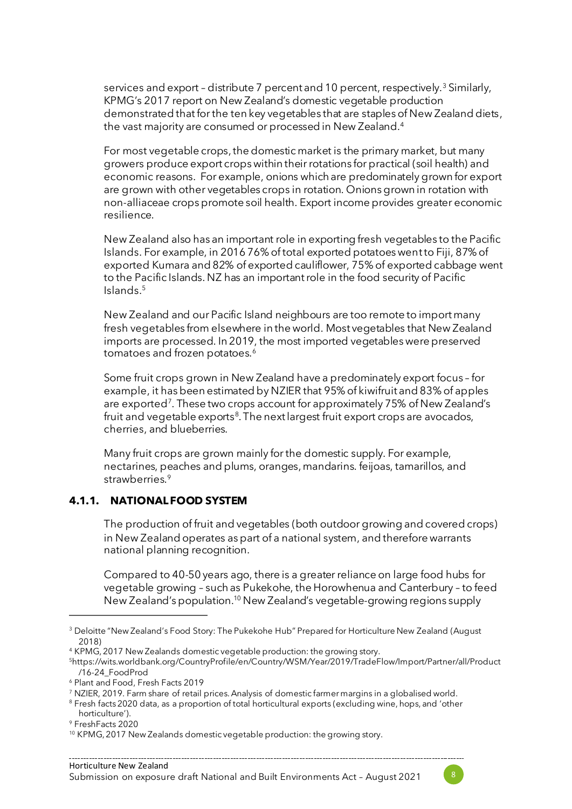services and export - distribute 7 percent and 10 percent, respectively.<sup>3</sup> Similarly, KPMG's 2017 report on New Zealand's domestic vegetable production demonstrated that for the ten key vegetables that are staples of New Zealand diets, the vast majority are consumed or processed in New Zealand. 4

For most vegetable crops, the domestic market is the primary market, but many growers produce export crops within their rotations for practical (soil health) and economic reasons. For example, onions which are predominately grown for export are grown with other vegetables crops in rotation. Onions grown in rotation with non-alliaceae crops promote soil health. Export income provides greater economic resilience.

New Zealand also has an important role in exporting fresh vegetables to the Pacific Islands. For example, in 2016 76% of total exported potatoes wentto Fiji, 87% of exported Kumara and 82% of exported cauliflower, 75% of exported cabbage went to the Pacific Islands. NZ has an important role in the food security of Pacific Islands. 5

New Zealand and our Pacific Island neighbours are too remote to import many fresh vegetables from elsewhere in the world. Most vegetables that New Zealand imports are processed. In 2019, the most imported vegetables were preserved tomatoes and frozen potatoes.<sup>6</sup>

Some fruit crops grown in New Zealand have a predominately export focus – for example, it has been estimated by NZIER that 95% of kiwifruit and 83% of apples are exported<sup>7</sup>. These two crops account for approximately 75% of New Zealand's fruit and vegetable exports<sup>8</sup>. The next largest fruit export crops are avocados, cherries, and blueberries.

Many fruit crops are grown mainly for the domestic supply. For example, nectarines, peaches and plums, oranges, mandarins. feijoas, tamarillos, and strawberries.<sup>9</sup>

#### **4.1.1. NATIONAL FOOD SYSTEM**

The production of fruit and vegetables (both outdoor growing and covered crops) in New Zealand operates as part of a national system, and therefore warrants national planning recognition.

Compared to 40-50 years ago, there is a greater reliance on large food hubs for vegetable growing – such as Pukekohe, the Horowhenua and Canterbury – to feed New Zealand's population.<sup>10</sup> New Zealand's vegetable-growing regions supply



<sup>&</sup>lt;sup>3</sup> Deloitte "New Zealand's Food Story: The Pukekohe Hub" Prepared for Horticulture New Zealand (August 2018)

<sup>4</sup> KPMG, 2017 New Zealands domestic vegetable production: the growing story.

<sup>5</sup>https://wits.worldbank.org/CountryProfile/en/Country/WSM/Year/2019/TradeFlow/Import/Partner/all/Product /16-24\_FoodProd

<sup>6</sup> Plant and Food, Fresh Facts 2019

<sup>7</sup> NZIER, 2019. Farm share of retail prices. Analysis of domestic farmer margins in a globalised world.

<sup>&</sup>lt;sup>8</sup> Fresh facts 2020 data, as a proportion of total horticultural exports (excluding wine, hops, and 'other horticulture').

<sup>9</sup> FreshFacts 2020

<sup>&</sup>lt;sup>10</sup> KPMG, 2017 New Zealands domestic vegetable production: the growing story.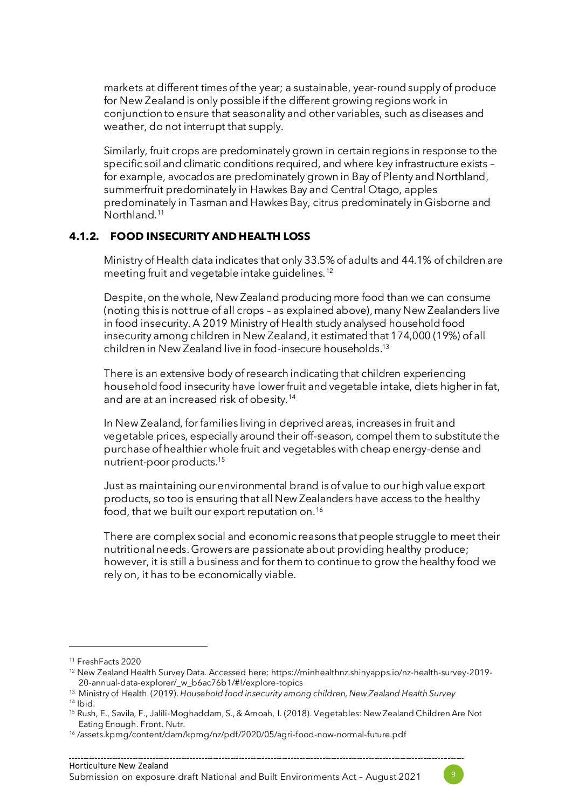markets at different times of the year; a sustainable, year-round supply of produce for New Zealand is only possible if the different growing regions work in conjunction to ensure that seasonality and other variables, such as diseases and weather, do not interrupt that supply.

Similarly, fruit crops are predominately grown in certain regions in response to the specific soil and climatic conditions required, and where key infrastructure exists – for example, avocados are predominately grown in Bay of Plenty and Northland, summerfruit predominately in Hawkes Bay and Central Otago, apples predominately in Tasman and Hawkes Bay, citrus predominately in Gisborne and Northland. 11

#### **4.1.2. FOOD INSECURITY AND HEALTH LOSS**

Ministry of Health data indicates that only 33.5% of adults and 44.1% of children are meeting fruit and vegetable intake guidelines.<sup>12</sup>

Despite, on the whole, New Zealand producing more food than we can consume (noting this is not true of all crops – as explained above), many New Zealanders live in food insecurity. A 2019 Ministry of Health study analysed household food insecurity among children in New Zealand, it estimated that 174,000 (19%) of all children in New Zealand live in food-insecure households. 13

There is an extensive body of research indicating that children experiencing household food insecurity have lower fruit and vegetable intake, diets higher in fat, and are at an increased risk of obesity.<sup>14</sup>

In New Zealand, for families living in deprived areas, increases in fruit and vegetable prices, especially around their off-season, compel them to substitute the purchase of healthier whole fruit and vegetables with cheap energy-dense and nutrient-poor products.<sup>15</sup>

Just as maintaining our environmental brand is of value to our high value export products, so too is ensuring that all New Zealanders have access to the healthy food, that we built our export reputation on.<sup>16</sup>

There are complex social and economic reasons that people struggle to meet their nutritional needs.Growers are passionate about providing healthy produce; however, it is still a business and for them to continue to grow the healthy food we rely on, it has to be economically viable.



<sup>11</sup> FreshFacts 2020

<sup>12</sup> New Zealand Health Survey Data. Accessed here: https://minhealthnz.shinyapps.io/nz-health-survey-2019- 20-annual-data-explorer/\_w\_b6ac76b1/#!/explore-topics

<sup>13</sup> Ministry of Health. (2019). *Household food insecurity among children, New Zealand Health Survey*

 $14$  Ibid.

<sup>15</sup> Rush, E., Savila, F., Jalili-Moghaddam, S., & Amoah, I. (2018). Vegetables: New Zealand Children Are Not Eating Enough. Front. Nutr.

<sup>16</sup> /assets.kpmg/content/dam/kpmg/nz/pdf/2020/05/agri-food-now-normal-future.pdf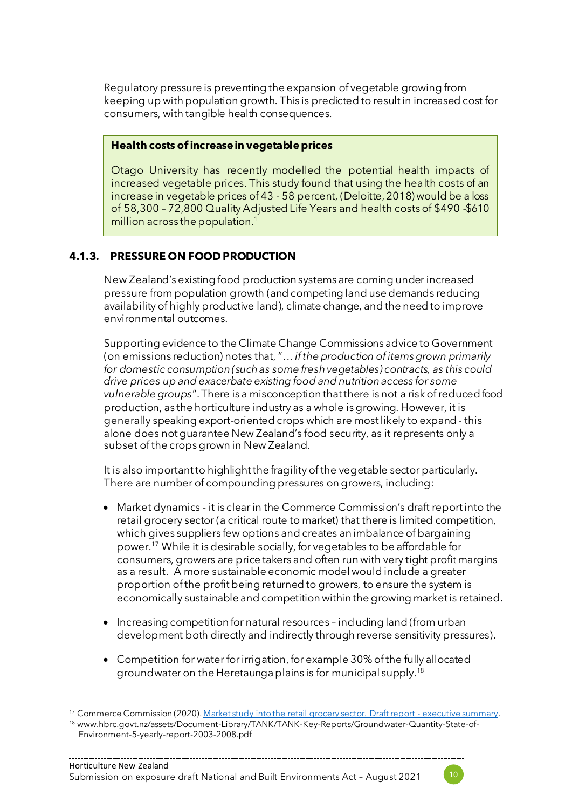Regulatory pressure is preventing the expansion of vegetable growing from keeping up with population growth. This is predicted to result in increased cost for consumers, with tangible health consequences.

#### **Health costs of increase in vegetable prices**

Otago University has recently modelled the potential health impacts of increased vegetable prices. This study found that using the health costs of an increase in vegetable prices of 43 - 58 percent, (Deloitte, 2018) would be a loss of 58,300 – 72,800 Quality Adjusted Life Years and health costs of \$490 -\$610 million across the population.<sup>1</sup>

#### **4.1.3. PRESSURE ON FOOD PRODUCTION**

New Zealand's existing food production systems are coming under increased pressure from population growth (and competing land use demands reducing availability of highly productive land), climate change, and the need to improve environmental outcomes.

Supporting evidence to the Climate Change Commissions advice to Government (on emissions reduction) notes that, "… *if the production of items grown primarily for domestic consumption (such as some fresh vegetables) contracts, as this could drive prices up and exacerbate existing food and nutrition access for some vulnerable groups*".There is a misconception that there is not a risk of reduced food production, as the horticulture industry as a whole is growing. However, it is generally speaking export-oriented crops which are most likely to expand - this alone does not guarantee New Zealand's food security, as it represents only a subset of the crops grown in New Zealand.

It is also important to highlight the fragility of the vegetable sector particularly. There are number of compounding pressures on growers, including:

- Market dynamics it is clear in the Commerce Commission's draft reportinto the retail grocery sector (a critical route to market) that there is limited competition, which gives suppliers few options and creates an imbalance of bargaining power. <sup>17</sup> While it is desirable socially, for vegetables to be affordable for consumers, growers are price takers and often run with very tight profit margins as a result. A more sustainable economic model would include a greater proportion of the profit being returned to growers, to ensure the system is economically sustainable and competition within the growing market is retained.
- Increasing competition for natural resources including land (from urban development both directly and indirectly through reverse sensitivity pressures).
- Competition for water for irrigation, for example 30% of the fully allocated groundwater on the Heretaunga plains is for municipal supply. 18



<sup>&</sup>lt;sup>17</sup> Commerce Commission (2020). [Market study into the retail grocery sector. Draft report -](https://comcom.govt.nz/__data/assets/pdf_file/0024/260376/Market-study-into-the-retail-grocery-sector-Draft-report-Executive-summary-29-July-2021.pdf) executive summary.

<sup>18</sup> www.hbrc.govt.nz/assets/Document-Library/TANK/TANK-Key-Reports/Groundwater-Quantity-State-of-Environment-5-yearly-report-2003-2008.pdf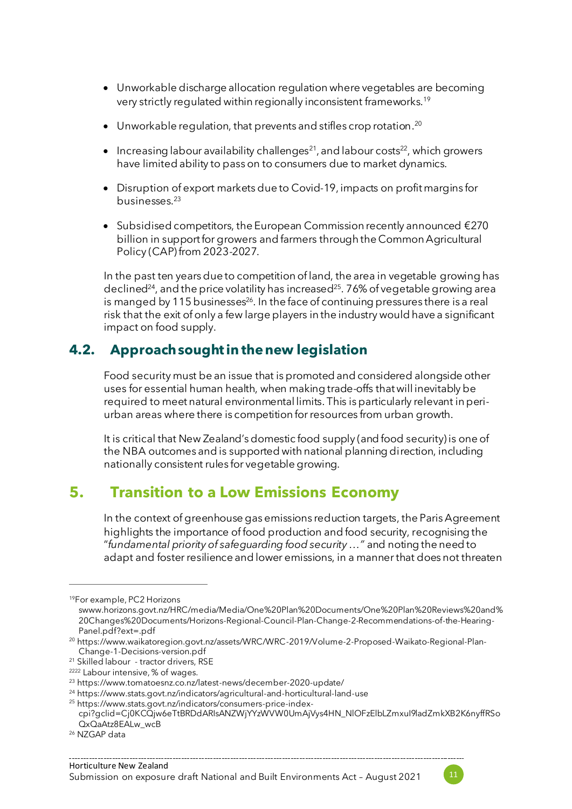- Unworkable discharge allocation regulation where vegetables are becoming very strictly regulated within regionally inconsistent frameworks.<sup>19</sup>
- $\bullet$  Unworkable regulation, that prevents and stifles crop rotation. $^{20}$
- $\bullet$  Increasing labour availability challenges<sup>21</sup>, and labour costs<sup>22</sup>, which growers have limited ability to pass on to consumers due to market dynamics.
- Disruption of export markets due to Covid-19, impacts on profit margins for businesses. 23
- Subsidised competitors, the European Commission recently announced €270 billion in support for growers and farmers through the Common Agricultural Policy (CAP) from 2023-2027.

In the past ten years due to competition of land, the area in vegetable growing has declined<sup>24</sup>, and the price volatility has increased<sup>25</sup>. 76% of vegetable growing area is manged by 115 businesses $^{26}$ . In the face of continuing pressures there is a real risk that the exit of only a few large players in the industry would have a significant impact on food supply.

## **4.2. Approach sought in the new legislation**

Food security must be an issue that is promoted and considered alongside other uses for essential human health, when making trade-offs that will inevitably be required to meet natural environmental limits. This is particularly relevant in periurban areas where there is competition for resources from urban growth.

It is critical that New Zealand's domestic food supply (and food security) is one of the NBA outcomes and is supported with national planning direction, including nationally consistent rules for vegetable growing.

## **5. Transition to a Low Emissions Economy**

In the context of greenhouse gas emissions reduction targets, the Paris Agreement highlights the importance of food production and food security, recognising the "*fundamental priority of safeguarding food security …"* and noting the need to adapt and foster resilience and lower emissions, in a manner that does not threaten



<sup>19</sup>For example, PC2 Horizons

swww.horizons.govt.nz/HRC/media/Media/One%20Plan%20Documents/One%20Plan%20Reviews%20and% 20Changes%20Documents/Horizons-Regional-Council-Plan-Change-2-Recommendations-of-the-Hearing-Panel.pdf?ext=.pdf

<sup>20</sup> https://www.waikatoregion.govt.nz/assets/WRC/WRC-2019/Volume-2-Proposed-Waikato-Regional-Plan-Change-1-Decisions-version.pdf

<sup>21</sup> Skilled labour - tractor drivers, RSE

<sup>2222</sup> Labour intensive, % of wages.

<sup>23</sup> https://www.tomatoesnz.co.nz/latest-news/december-2020-update/

<sup>24</sup> https://www.stats.govt.nz/indicators/agricultural-and-horticultural-land-use

<sup>25</sup> https://www.stats.govt.nz/indicators/consumers-price-index-

cpi?gclid=Cj0KCQjw6eTtBRDdARIsANZWjYYzWVW0UmAjVys4HN\_NlOFzElbLZmxuI9ladZmkXB2K6nyffRSo QxQaAtz8EALw\_wcB

<sup>26</sup> NZGAP data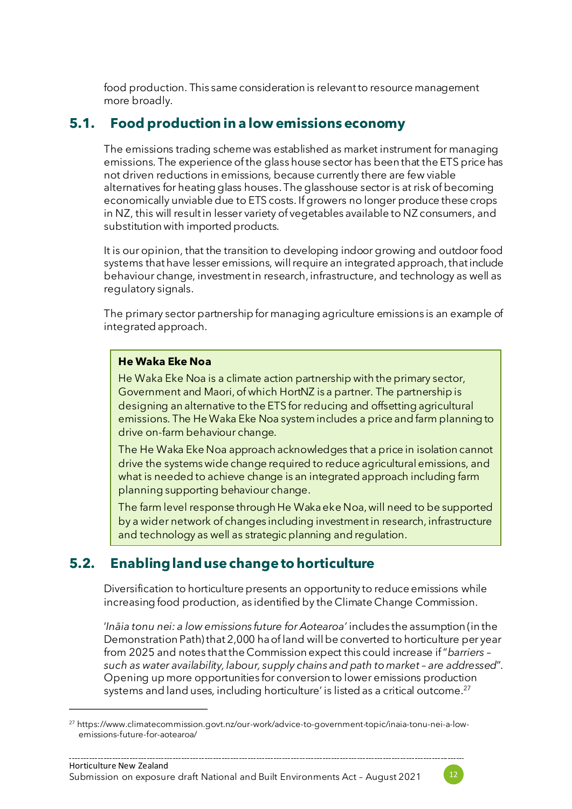food production. This same consideration is relevant to resource management more broadly.

## **5.1. Food production in a low emissions economy**

The emissions trading scheme was established as market instrument for managing emissions. The experience of the glass house sector has been that the ETS price has not driven reductions in emissions, because currently there are few viable alternatives for heating glass houses. The glasshouse sector is at risk of becoming economically unviable due to ETS costs. If growers no longer produce these crops in NZ, this will result in lesser variety of vegetables available to NZ consumers, and substitution with imported products.

It is our opinion, that the transition to developing indoor growing and outdoor food systems that have lesser emissions, will require an integrated approach, that include behaviour change, investment in research, infrastructure, and technology as well as regulatory signals.

The primary sector partnership for managing agriculture emissions is an example of integrated approach.

#### **He Waka Eke Noa**

He Waka Eke Noa is a climate action partnership with the primary sector, Government and Maori, of which HortNZ is a partner. The partnership is designing an alternative to the ETS for reducing and offsetting agricultural emissions. The He Waka Eke Noa systemincludes a price and farm planning to drive on-farm behaviour change.

The He Waka Eke Noa approach acknowledges that a price in isolation cannot drive the systems wide change required to reduce agricultural emissions, and what is needed to achieve change is an integrated approach including farm planning supporting behaviour change.

The farm level response through He Waka eke Noa, will need to be supported by a wider network of changes including investment in research, infrastructure and technology as well as strategic planning and regulation.

## **5.2. Enabling land use change to horticulture**

Diversification to horticulture presents an opportunity to reduce emissions while increasing food production, as identified by the Climate Change Commission.

'*Ināia tonu nei: a low emissions future for Aotearoa'* includes the assumption (in the Demonstration Path) that 2,000 ha of land will be converted to horticulture per year from 2025 and notes that the Commission expect this could increase if "*barriers – such as water availability, labour, supply chains and path to market – are addressed*". Opening up more opportunities for conversion to lower emissions production systems and land uses, including horticulture' is listed as a critical outcome. 27



<sup>27</sup> https://www.climatecommission.govt.nz/our-work/advice-to-government-topic/inaia-tonu-nei-a-lowemissions-future-for-aotearoa/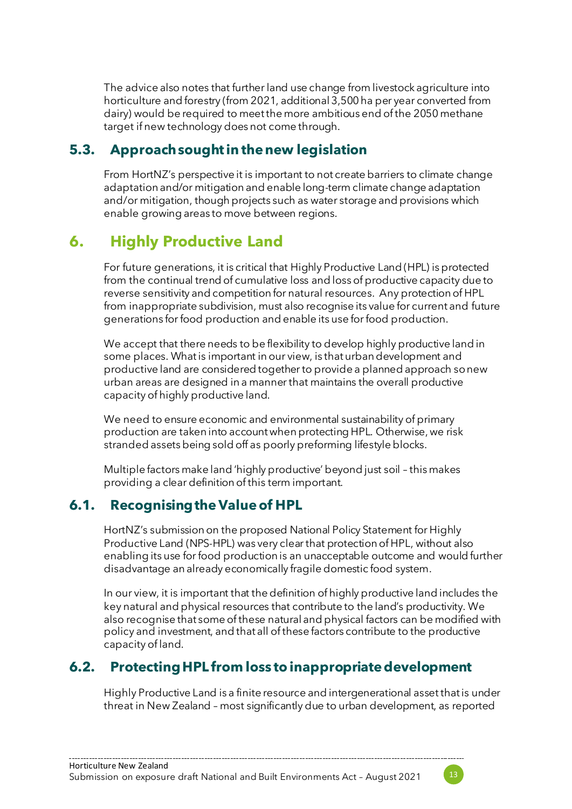The advice also notes that further land use change from livestock agriculture into horticulture and forestry (from 2021, additional 3,500 ha per year converted from dairy) would be required to meet the more ambitious end of the 2050 methane target if new technology does not come through.

## **5.3. Approach sought in the new legislation**

From HortNZ's perspective it is important to not create barriers to climate change adaptation and/or mitigation and enable long-term climate change adaptation and/or mitigation, though projects such as water storage and provisions which enable growing areas to move between regions.

## **6. Highly Productive Land**

For future generations, it is critical that Highly Productive Land (HPL) is protected from the continual trend of cumulative loss and loss of productive capacity due to reverse sensitivity and competition for natural resources. Any protection of HPL from inappropriate subdivision, must also recognise its value for current and future generations for food production and enable its use for food production.

We accept that there needs to be flexibility to develop highly productive land in some places. What is important in our view, is that urban development and productive land are considered together to provide a planned approach so new urban areas are designed in a manner that maintains the overall productive capacity of highly productive land.

We need to ensure economic and environmental sustainability of primary production are taken into account when protecting HPL. Otherwise, we risk stranded assets being sold off as poorly preforming lifestyle blocks.

Multiple factors make land 'highly productive' beyond just soil – this makes providing a clear definition of this term important.

## **6.1. Recognising the Value of HPL**

HortNZ's submission on the proposed National Policy Statement for Highly Productive Land (NPS-HPL) was very clear that protection of HPL, without also enabling its use for food production is an unacceptable outcome and would further disadvantage an already economically fragile domestic food system.

In our view, it is important that the definition of highly productive land includes the key natural and physical resources that contribute to the land's productivity. We also recognise that some of these natural and physical factors can be modified with policy and investment, and that all of these factors contribute to the productive capacity of land.

## **6.2. Protecting HPL from loss to inappropriate development**

Highly Productive Land is a finite resource and intergenerational asset that is under threat in New Zealand – most significantly due to urban development, as reported

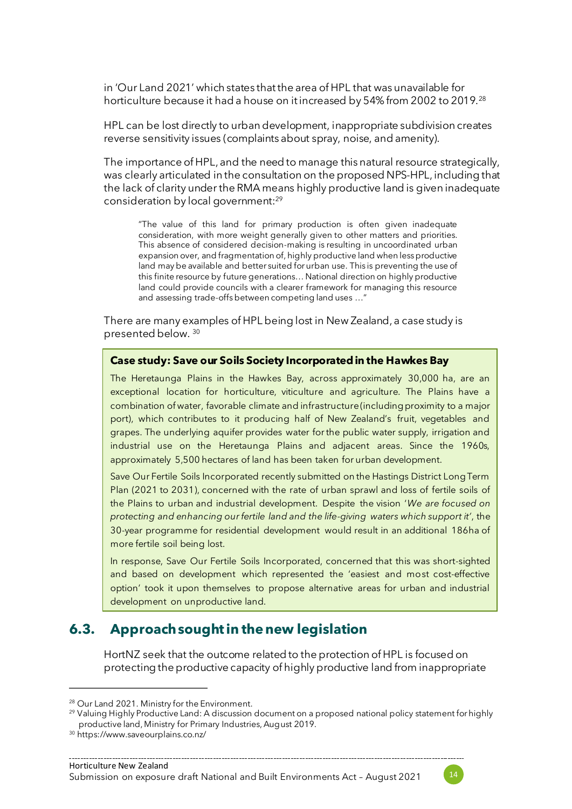in 'Our Land 2021' which states that the area of HPL that was unavailable for horticulture because it had a house on it increased by 54% from 2002 to 2019.<sup>28</sup>

HPL can be lost directly to urban development, inappropriate subdivision creates reverse sensitivity issues (complaints about spray, noise, and amenity).

The importance of HPL, and the need to manage this natural resource strategically, was clearly articulated in the consultation on the proposed NPS-HPL, including that the lack of clarity under the RMA means highly productive land is given inadequate consideration by local government:<sup>29</sup>

"The value of this land for primary production is often given inadequate consideration, with more weight generally given to other matters and priorities. This absence of considered decision-making is resulting in uncoordinated urban expansion over, and fragmentation of, highly productive land when less productive land may be available and better suited for urban use. This is preventing the use of this finite resource by future generations… National direction on highly productive land could provide councils with a clearer framework for managing this resource and assessing trade-offs between competing land uses …"

There are many examples of HPL being lost in New Zealand, a case study is presented below. <sup>30</sup>

#### **Case study: Save our Soils Society Incorporated in the Hawkes Bay**

The Heretaunga Plains in the Hawkes Bay, across approximately 30,000 ha, are an exceptional location for horticulture, viticulture and agriculture. The Plains have a combination of water, favorable climate and infrastructure (including proximity to a major port), which contributes to it producing half of New Zealand's fruit, vegetables and grapes. The underlying aquifer provides water for the public water supply, irrigation and industrial use on the Heretaunga Plains and adjacent areas. Since the 1960s, approximately 5,500 hectares of land has been taken for urban development.

Save Our Fertile Soils Incorporated recently submitted on the Hastings District Long Term Plan (2021 to 2031), concerned with the rate of urban sprawl and loss of fertile soils of the Plains to urban and industrial development. Despite the vision '*We are focused on protecting and enhancing our fertile land and the life-giving waters which support it'*, the 30-year programme for residential development would result in an additional 186ha of more fertile soil being lost.

In response, Save Our Fertile Soils Incorporated, concerned that this was short-sighted and based on development which represented the 'easiest and most cost-effective option' took it upon themselves to propose alternative areas for urban and industrial development on unproductive land.

#### **6.3. Approach sought in the new legislation**

HortNZ seek that the outcome related to the protection of HPL is focused on protecting the productive capacity of highly productive land from inappropriate



<sup>&</sup>lt;sup>28</sup> Our Land 2021. Ministry for the Environment.

<sup>&</sup>lt;sup>29</sup> Valuing Highly Productive Land: A discussion document on a proposed national policy statement for highly productive land, Ministry for Primary Industries, August 2019.

<sup>30</sup> https://www.saveourplains.co.nz/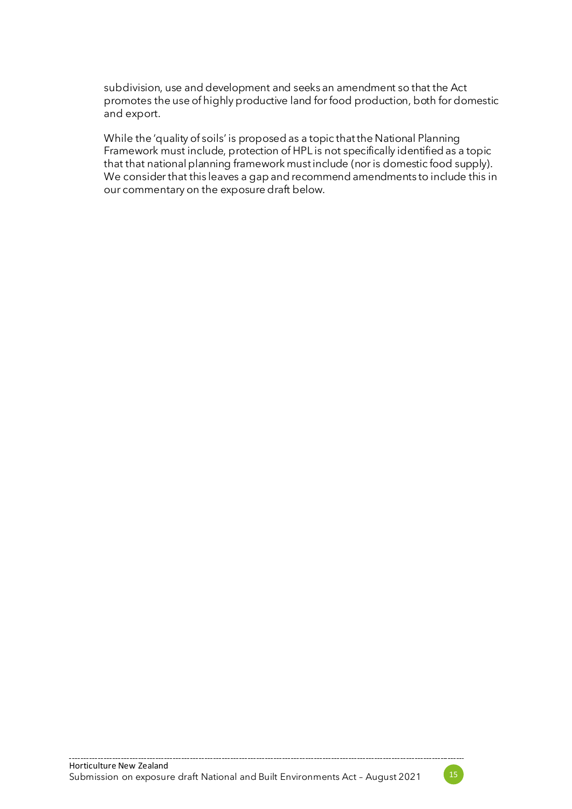subdivision, use and development and seeks an amendment so that the Act promotes the use of highly productive land for food production, both for domestic and export.

While the 'quality of soils' is proposed as a topic that the National Planning Framework must include, protection of HPL is not specifically identified as a topic that that national planning framework must include (nor is domestic food supply). We consider that this leaves a gap and recommend amendments to include this in our commentary on the exposure draft below.

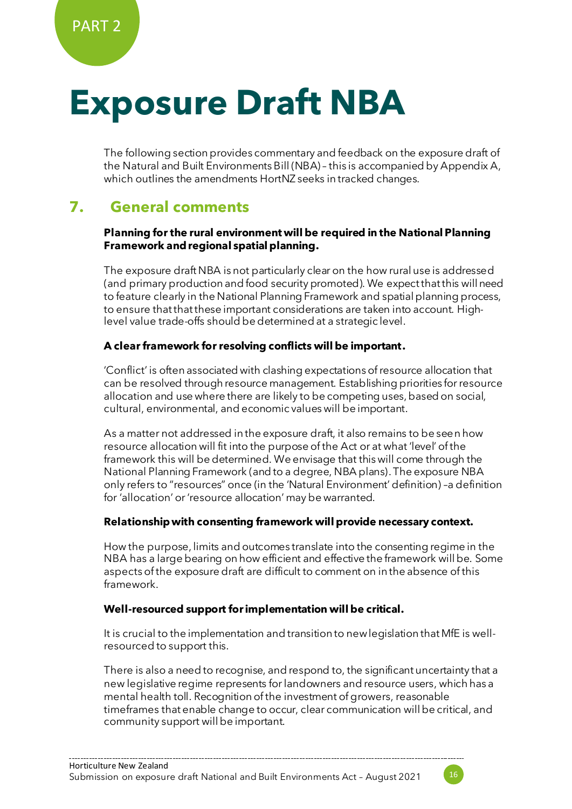## **Exposure Draft NBA**

The following section provides commentary and feedback on the exposure draft of the Natural and Built Environments Bill (NBA) – this is accompanied by Appendix A, which outlines the amendments HortNZ seeks in tracked changes.

## **7. General comments**

#### **Planning for the rural environment will be required in the National Planning Framework and regional spatial planning.**

The exposure draft NBA is not particularly clear on the how rural use is addressed (and primary production and food security promoted). We expect that this will need to feature clearly in the National Planning Framework and spatial planning process, to ensure that that these important considerations are taken into account. Highlevel value trade-offs should be determined at a strategic level.

#### **A clear framework for resolving conflicts will be important.**

'Conflict' is often associated with clashing expectations of resource allocation that can be resolved through resource management. Establishing priorities for resource allocation and use where there are likely to be competing uses, based on social, cultural, environmental, and economic values will be important.

As a matter not addressed in the exposure draft, it also remains to be seen how resource allocation will fit into the purpose of the Act or at what 'level' of the framework this will be determined. We envisage that this will come through the National Planning Framework (and to a degree, NBA plans). The exposure NBA only refers to "resources" once (in the 'Natural Environment' definition) –a definition for 'allocation' or 'resource allocation' may be warranted.

#### **Relationship with consenting framework will provide necessary context.**

How the purpose, limits and outcomes translate into the consenting regime in the NBA has a large bearing on how efficient and effective the framework will be. Some aspects of the exposure draft are difficult to comment on in the absence of this framework.

#### **Well-resourced support forimplementation will be critical.**

It is crucial to the implementation and transition to new legislation that MfE is wellresourced to support this.

There is also a need to recognise, and respond to, the significant uncertainty that a new legislative regime represents for landowners and resource users, which has a mental health toll. Recognition of the investment of growers, reasonable timeframes that enable change to occur, clear communication will be critical, and community support will be important.

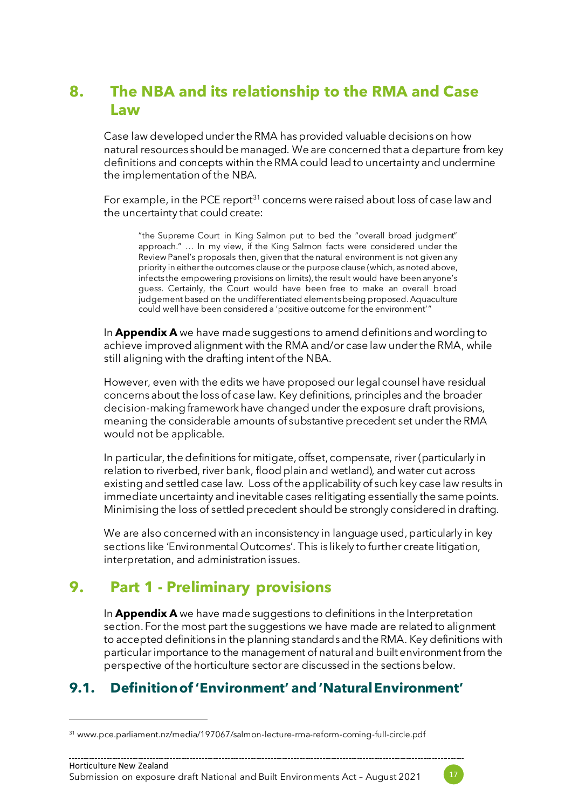## **8. The NBA and its relationship to the RMA and Case Law**

Case law developed under the RMA has provided valuable decisions on how natural resources should be managed. We are concerned that a departure from key definitions and concepts within the RMA could lead to uncertainty and undermine the implementation of the NBA.

For example, in the PCE report<sup>31</sup> concerns were raised about loss of case law and the uncertainty that could create:

"the Supreme Court in King Salmon put to bed the "overall broad judgment" approach." … In my view, if the King Salmon facts were considered under the Review Panel's proposals then, given that the natural environment is not given any priority in either the outcomes clause or the purpose clause (which, as noted above, infects the empowering provisions on limits), the result would have been anyone's guess. Certainly, the Court would have been free to make an overall broad judgement based on the undifferentiated elements being proposed. Aquaculture could well have been considered a 'positive outcome for the environment'"

In **Appendix A** we have made suggestions to amend definitions and wording to achieve improved alignment with the RMA and/or case law under the RMA, while still aligning with the drafting intent of the NBA.

However, even with the edits we have proposed our legal counsel have residual concerns about the loss of case law. Key definitions, principles and the broader decision-making framework have changed under the exposure draft provisions, meaning the considerable amounts of substantive precedent set under the RMA would not be applicable.

<span id="page-16-0"></span>In particular, the definitions for mitigate, offset, compensate, river (particularly in relation to riverbed, river bank, flood plain and wetland), and water cut across existing and settled case law. Loss of the applicability of such key case law results in immediate uncertainty and inevitable cases relitigating essentially the same points. Minimising the loss of settled precedent should be strongly considered in drafting.

We are also concerned with an inconsistency in language used, particularly in key sections like 'Environmental Outcomes'. This is likely to further create litigation, interpretation, and administration issues.

## **9. Part 1 - Preliminary provisions**

In **Appendix A** we have made suggestions to definitions in the Interpretation section. For the most part the suggestions we have made are related to alignment to accepted definitions in the planning standards and the RMA. Key definitions with particular importance to the management of natural and built environment from the perspective of the horticulture sector are discussed in the sections below.

## **9.1. Definition of 'Environment' and 'Natural Environment'**



<sup>31</sup> www.pce.parliament.nz/media/197067/salmon-lecture-rma-reform-coming-full-circle.pdf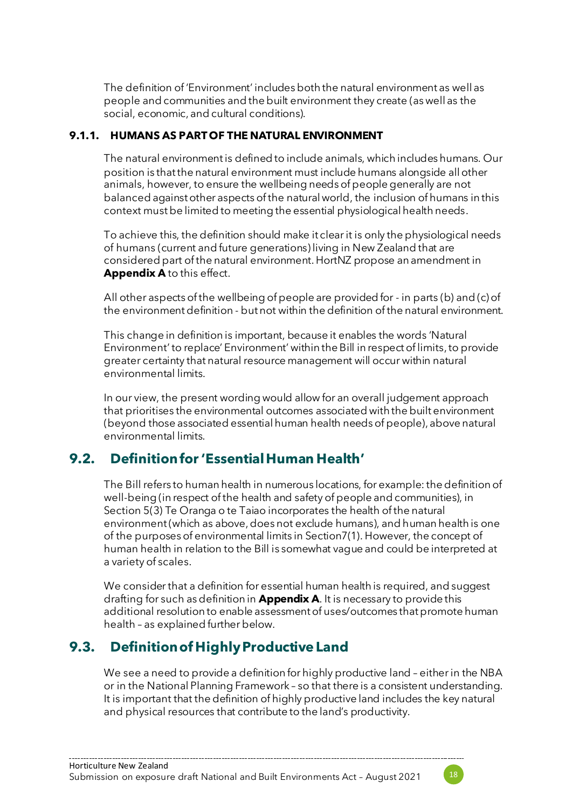The definition of 'Environment' includes both the natural environment as well as people and communities and the built environment they create (as well as the social, economic, and cultural conditions).

#### **9.1.1. HUMANS AS PART OF THE NATURAL ENVIRONMENT**

The natural environment is defined to include animals, which includes humans. Our position is that the natural environment must include humans alongside all other animals, however, to ensure the wellbeing needs of people generally are not balanced against other aspects of the natural world, the inclusion of humans in this context must be limited to meeting the essential physiological health needs.

<span id="page-17-0"></span>To achieve this, the definition should make it clear it is only the physiological needs of humans (current and future generations) living in New Zealand that are considered part of the natural environment. HortNZ propose an amendment in **Appendix A** to this effect.

All other aspects of the wellbeing of people are provided for - in parts (b) and (c) of the environment definition - but not within the definition of the natural environment.

This change in definition is important, because it enables the words 'Natural Environment' to replace' Environment' within the Bill in respect of limits, to provide greater certainty that natural resource management will occur within natural environmental limits.

<span id="page-17-1"></span>In our view, the present wording would allow for an overall judgement approach that prioritises the environmental outcomes associated with the built environment (beyond those associated essential human health needs of people), above natural environmental limits.

## **9.2. Definitionfor 'Essential Human Health'**

The Bill refers to human health in numerous locations, for example: the definition of well-being (in respect of the health and safety of people and communities), in Section 5(3) Te Oranga o te Taiao incorporates the health of the natural environment (which as above, does not exclude humans), and human health is one of the purposes of environmental limits in Section7(1). However, the concept of human health in relation to the Bill is somewhat vague and could be interpreted at a variety of scales.

We consider that a definition for essential human health is required, and suggest drafting for such as definition in **Appendix A**. It is necessary to provide this additional resolution to enable assessment of uses/outcomes that promote human health – as explained further below.

## **9.3. Definition of HighlyProductive Land**

We see a need to provide a definition for highly productive land – either in the NBA or in the National Planning Framework – so that there is a consistent understanding. It is important that the definition of highly productive land includes the key natural and physical resources that contribute to the land's productivity.

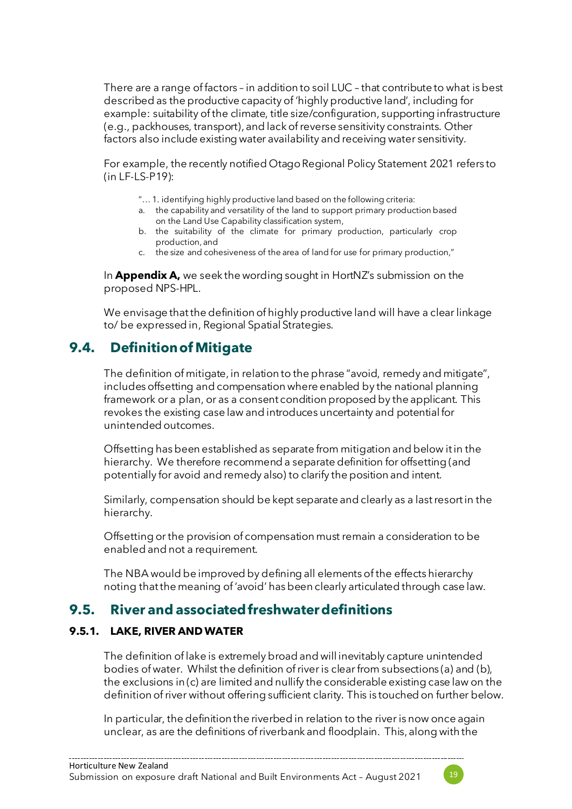<span id="page-18-1"></span>There are a range of factors – in addition to soil LUC – that contribute to what is best described as the productive capacity of 'highly productive land', including for example: suitability of the climate, title size/configuration, supporting infrastructure (e.g., packhouses, transport), and lack of reverse sensitivity constraints. Other factors also include existing water availability and receiving water sensitivity.

For example, the recently notified Otago Regional Policy Statement 2021 refers to (in LF-LS-P19):

- "… 1. identifying highly productive land based on the following criteria:
- a. the capability and versatility of the land to support primary production based on the Land Use Capability classification system,
- b. the suitability of the climate for primary production, particularly crop production, and
- c. the size and cohesiveness of the area of land for use for primary production,"

In **Appendix A,** we seek the wording sought in HortNZ's submission on the proposed NPS-HPL.

We envisage that the definition of highly productive land will have a clear linkage to/ be expressed in, Regional Spatial Strategies.

## <span id="page-18-2"></span>**9.4. Definition of Mitigate**

<span id="page-18-0"></span>The definition of mitigate, in relation to the phrase "avoid, remedy and mitigate", includes offsetting and compensation where enabled by the national planning framework or a plan, or as a consent condition proposed by the applicant. This revokes the existing case law and introduces uncertainty and potential for unintended outcomes.

Offsetting has been established as separate from mitigation and below it in the hierarchy. We therefore recommend a separate definition for offsetting (and potentially for avoid and remedy also) to clarify the position and intent.

Similarly, compensation should be kept separate and clearly as a last resort in the hierarchy.

Offsetting or the provision of compensation must remain a consideration to be enabled and not a requirement.

The NBA would be improved by defining all elements of the effects hierarchy noting that the meaning of 'avoid' has been clearly articulated through case law.

### **9.5. River and associated freshwater definitions**

#### **9.5.1. LAKE, RIVER AND WATER**

The definition of lake is extremely broad and will inevitably capture unintended bodies of water. Whilst the definition of river is clear from subsections (a) and (b), the exclusions in (c) are limited and nullify the considerable existing case law on the definition of river without offering sufficient clarity. This is touched on further below.

In particular, the definition the riverbed in relation to the river is now once again unclear, as are the definitions of riverbank and floodplain. This, along with the

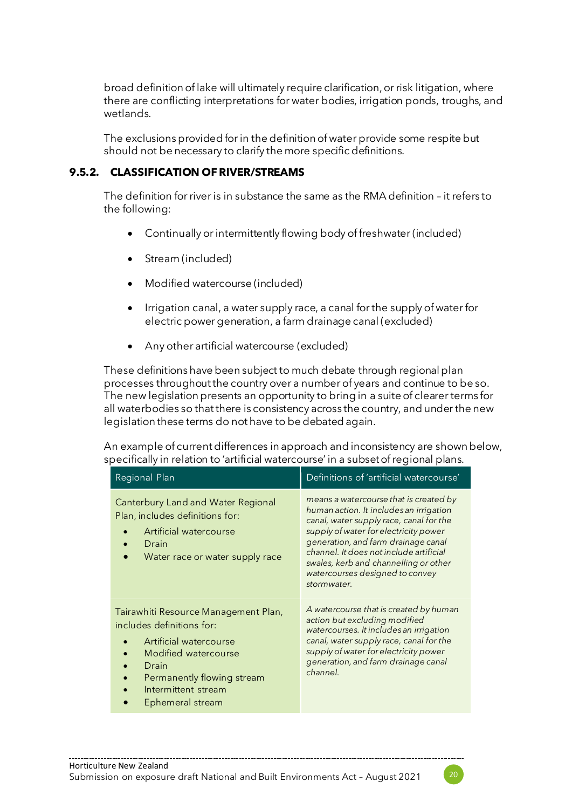broad definition of lake will ultimately require clarification, or risk litigation, where there are conflicting interpretations for water bodies, irrigation ponds, troughs, and wetlands.

The exclusions provided for in the definition of water provide some respite but should not be necessary to clarify the more specific definitions.

#### **9.5.2. CLASSIFICATION OF RIVER/STREAMS**

The definition for river is in substance the same as the RMA definition – it refers to the following:

- Continually or intermittently flowing body of freshwater (included)
- Stream (included)
- Modified watercourse (included)
- Irrigation canal, a water supply race, a canal for the supply of water for electric power generation, a farm drainage canal (excluded)
- Any other artificial watercourse (excluded)

These definitions have been subject to much debate through regional plan processes throughout the country over a number of years and continue to be so. The new legislation presents an opportunity to bring in a suite of clearer terms for all waterbodies so that there is consistency across the country, and under the new legislation these terms do not have to be debated again.

An example of current differences in approach and inconsistency are shown below, specifically in relation to 'artificial watercourse' in a subset of regional plans.

| Regional Plan                                                                                                                                                                                         | Definitions of 'artificial watercourse'                                                                                                                                                                                                                                                                                                            |
|-------------------------------------------------------------------------------------------------------------------------------------------------------------------------------------------------------|----------------------------------------------------------------------------------------------------------------------------------------------------------------------------------------------------------------------------------------------------------------------------------------------------------------------------------------------------|
| Canterbury Land and Water Regional<br>Plan, includes definitions for:<br>Artificial watercourse<br>Drain<br>Water race or water supply race                                                           | means a watercourse that is created by<br>human action. It includes an irrigation<br>canal, water supply race, canal for the<br>supply of water for electricity power<br>generation, and farm drainage canal<br>channel. It does not include artificial<br>swales, kerb and channelling or other<br>watercourses designed to convey<br>stormwater. |
| Tairawhiti Resource Management Plan,<br>includes definitions for:<br>Artificial watercourse<br>Modified watercourse<br>Drain<br>Permanently flowing stream<br>Intermittent stream<br>Ephemeral stream | A watercourse that is created by human<br>action but excluding modified<br>watercourses. It includes an irrigation<br>canal, water supply race, canal for the<br>supply of water for electricity power<br>generation, and farm drainage canal<br>channel.                                                                                          |

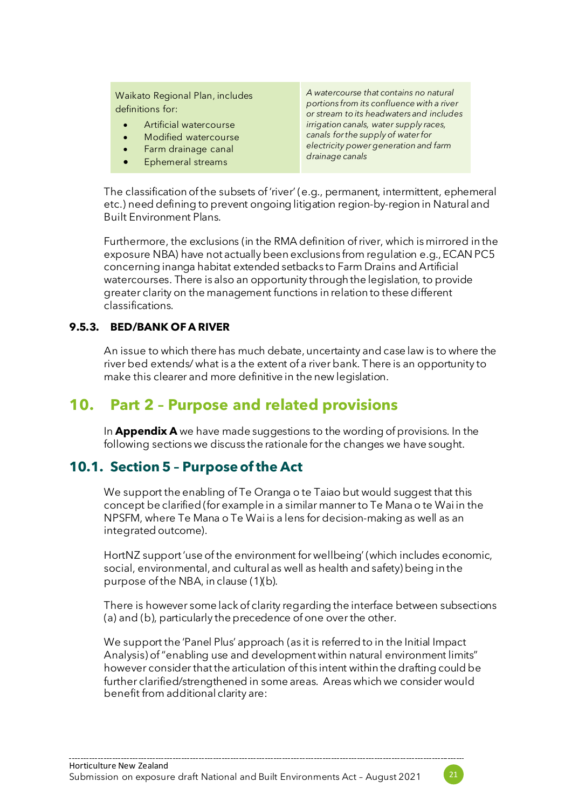Waikato Regional Plan, includes definitions for:

- Artificial watercourse
- Modified watercourse
- Farm drainage canal
- Ephemeral streams

*A watercourse that contains no natural portions from its confluence with a river or stream to its headwaters and includes irrigation canals, water supply races, canals for the supply of water for electricity power generation and farm drainage canals*

The classification of the subsets of 'river' (e.g., permanent, intermittent, ephemeral etc.) need defining to prevent ongoing litigation region-by-region in Natural and Built Environment Plans.

Furthermore, the exclusions (in the RMA definition of river, which is mirrored in the exposure NBA) have not actually been exclusions from regulation e.g., ECAN PC5 concerning inanga habitat extended setbacks to Farm Drains and Artificial watercourses. There is also an opportunity through the legislation, to provide greater clarity on the management functions in relation to these different classifications.

#### **9.5.3. BED/BANK OF A RIVER**

An issue to which there has much debate, uncertainty and case law is to where the river bed extends/ what is a the extent of a river bank. There is an opportunity to make this clearer and more definitive in the new legislation.

## **10. Part 2 – Purpose and related provisions**

In **Appendix A** we have made suggestions to the wording of provisions. In the following sections we discuss the rationale for the changes we have sought.

### **10.1. Section 5 – Purpose of the Act**

We support the enabling of Te Oranga o te Taiao but would suggest that this concept be clarified (for example in a similar manner to Te Mana o te Wai in the NPSFM, where Te Mana o Te Wai is a lens for decision-making as well as an integrated outcome).

HortNZ support 'use of the environment for wellbeing' (which includes economic, social, environmental, and cultural as well as health and safety) being in the purpose of the NBA, in clause (1)(b).

There is however some lack of clarity regarding the interface between subsections (a) and (b), particularly the precedence of one over the other.

We support the 'Panel Plus' approach (as it is referred to in the Initial Impact Analysis) of "enabling use and development within natural environment limits" however consider that the articulation of this intent within the drafting could be further clarified/strengthened in some areas. Areas which we consider would benefit from additional clarity are:

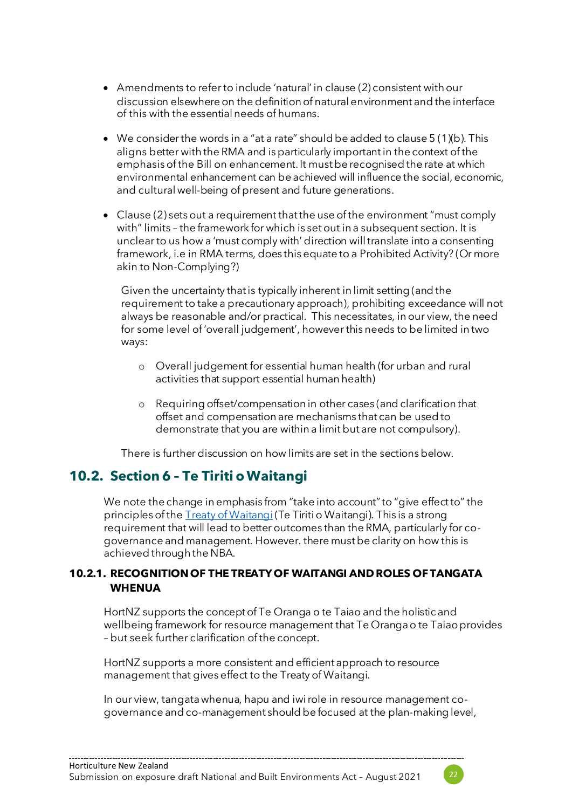- Amendments to refer to include 'natural' in clause (2) consistent with our discussion elsewhere on the definition of natural environment and the interface of this with the essential needs of humans.
- We consider the words in a "at a rate" should be added to clause 5 (1)(b). This aligns better with the RMA and is particularly important in the context of the emphasis of the Bill on enhancement. It must be recognised the rate at which environmental enhancement can be achieved will influence the social, economic, and cultural well-being of present and future generations.
- Clause (2) sets out a requirement that the use of the environment "must comply with" limits – the framework for which is set out in a subsequent section. It is unclear to us how a 'must comply with' direction will translate into a consenting framework, i.e in RMA terms, does this equate to a Prohibited Activity? (Or more akin to Non-Complying?)

Given the uncertainty that is typically inherent in limit setting (and the requirement to take a precautionary approach), prohibiting exceedance will not always be reasonable and/or practical. This necessitates, in our view, the need for some level of 'overall judgement', however this needs to be limited in two ways:

- o Overall judgement for essential human health (for urban and rural activities that support essential human health)
- o Requiring offset/compensation in other cases (and clarification that offset and compensation are mechanisms that can be used to demonstrate that you are within a limit but are not compulsory).

There is further discussion on how limits are set in the sections below.

## **10.2. Section 6 – Te Tiriti o Waitangi**

We note the change in emphasis from "take into account" to "give effect to" the principles of the **[Treaty of Waitangi](https://www.legislation.govt.nz/act/public/1991/0069/latest/link.aspx?id=DLM435834#DLM435834)** (Te Tiriti o Waitangi). This is a strong requirement that will lead to better outcomes than the RMA, particularly for cogovernance and management. However. there must be clarity on how this is achieved through the NBA.

#### **10.2.1. RECOGNITION OF THE TREATY OF WAITANGI AND ROLES OF TANGATA WHENUA**

HortNZ supports the concept of Te Oranga o te Taiao and the holistic and wellbeing framework for resource management that Te Oranga o te Taiao provides – but seek further clarification of the concept.

HortNZ supports a more consistent and efficient approach to resource management that gives effect to the Treaty of Waitangi.

In our view, tangata whenua, hapu and iwi role in resource management cogovernance and co-management should be focused at the plan-making level,

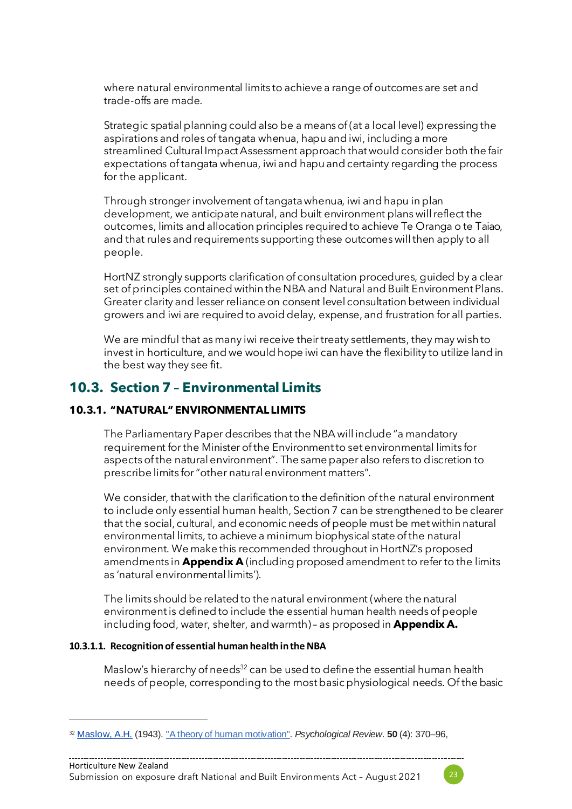where natural environmental limits to achieve a range of outcomes are set and trade-offs are made.

Strategic spatial planning could also be a means of (at a local level) expressing the aspirations and roles of tangata whenua, hapu and iwi, including a more streamlined Cultural Impact Assessment approach that would consider both the fair expectations of tangata whenua, iwi and hapu and certainty regarding the process for the applicant.

Through stronger involvement of tangata whenua, iwi and hapu in plan development, we anticipate natural, and built environment plans will reflect the outcomes, limits and allocation principles required to achieve Te Oranga o te Taiao, and that rules and requirements supporting these outcomes will then apply to all people.

HortNZ strongly supports clarification of consultation procedures, guided by a clear set of principles contained within the NBA and Natural and Built Environment Plans. Greater clarity and lesser reliance on consent level consultation between individual growers and iwi are required to avoid delay, expense, and frustration for all parties.

We are mindful that as many iwi receive their treaty settlements, they may wish to invest in horticulture, and we would hope iwi can have the flexibility to utilize land in the best way they see fit.

## **10.3. Section 7 – Environmental Limits**

#### **10.3.1. "NATURAL" ENVIRONMENTAL LIMITS**

The Parliamentary Paper describes that the NBA will include "a mandatory requirement for the Minister of the Environment to set environmental limits for aspects of the natural environment". The same paper also refers to discretion to prescribe limits for "other natural environment matters".

We consider, that with the clarification to the definition of the natural environment to include only essential human health, Section 7 can be strengthened to be clearer that the social, cultural, and economic needs of people must be met within natural environmental limits, to achieve a minimum biophysical state of the natural environment. We make this recommended throughout in HortNZ's proposed amendments in **Appendix A** (including proposed amendment to refer to the limits as 'natural environmental limits').

The limits should be related to the natural environment (where the natural environment is defined to include the essential human health needs of people including food, water, shelter, and warmth) – as proposed in **Appendix A.**

#### **10.3.1.1. Recognition of essential human health in the NBA**

Maslow's hierarchy of needs<sup>32</sup> can be used to define the essential human health needs of people, corresponding to the most basic physiological needs. Of the basic



<sup>32</sup> [Maslow, A.H.](https://en.wikipedia.org/wiki/Abraham_Maslow) (1943). ["A theory of human motivation".](http://psychclassics.yorku.ca/Maslow/motivation.htm) *Psychological Review*. **50** (4): 370–96,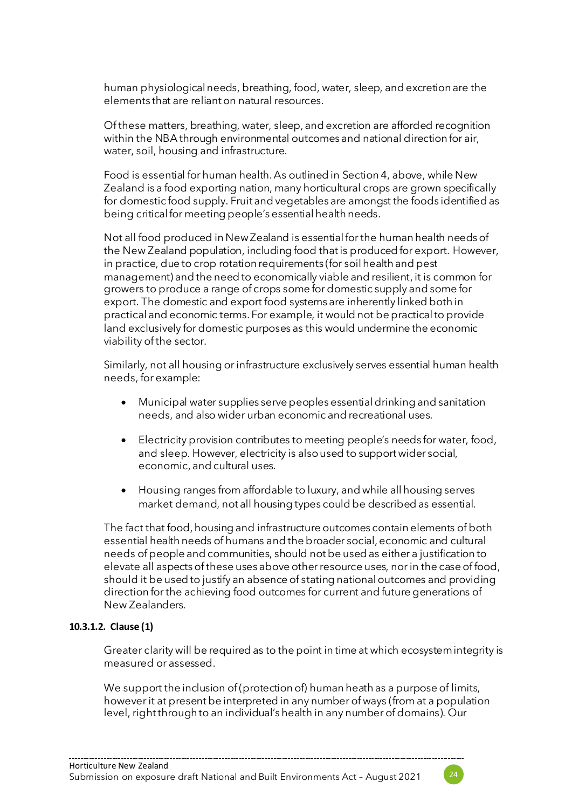human physiological needs, breathing, food, water, sleep, and excretion are the elements that are reliant on natural resources.

Of these matters, breathing, water, sleep, and excretion are afforded recognition within the NBA through environmental outcomes and national direction for air, water, soil, housing and infrastructure.

Food is essential for human health. As outlined in Sectio[n 4](#page-6-0), above, while New Zealand is a food exporting nation, many horticultural crops are grown specifically for domestic food supply. Fruit and vegetables are amongst the foods identified as being critical for meeting people's essential health needs.

Not all food produced in New Zealand is essential for the human health needs of the New Zealand population, including food that is produced for export. However, in practice, due to crop rotation requirements (for soil health and pest management) and the need to economically viable and resilient, it is common for growers to produce a range of crops some for domestic supply and some for export. The domestic and export food systems are inherently linked both in practical and economic terms. For example, it would not be practical to provide land exclusively for domestic purposes as this would undermine the economic viability of the sector.

Similarly, not all housing or infrastructure exclusively serves essential human health needs, for example:

- Municipal water supplies serve peoples essential drinking and sanitation needs, and also wider urban economic and recreational uses.
- Electricity provision contributes to meeting people's needs for water, food, and sleep. However, electricity is also used to support wider social, economic, and cultural uses.
- Housing ranges from affordable to luxury, and while all housing serves market demand, not all housing types could be described as essential.

The fact that food, housing and infrastructure outcomes contain elements of both essential health needs of humans and the broader social, economic and cultural needs of people and communities, should not be used as either a justification to elevate all aspects of these uses above other resource uses, nor in the case of food, should it be used to justify an absence of stating national outcomes and providing direction for the achieving food outcomes for current and future generations of New Zealanders.

#### **10.3.1.2. Clause (1)**

Greater clarity will be required as to the point in time at which ecosystem integrity is measured or assessed.

We support the inclusion of (protection of) human heath as a purpose of limits, however it at present be interpreted in any number of ways (from at a population level, right through to an individual's health in any number of domains). Our

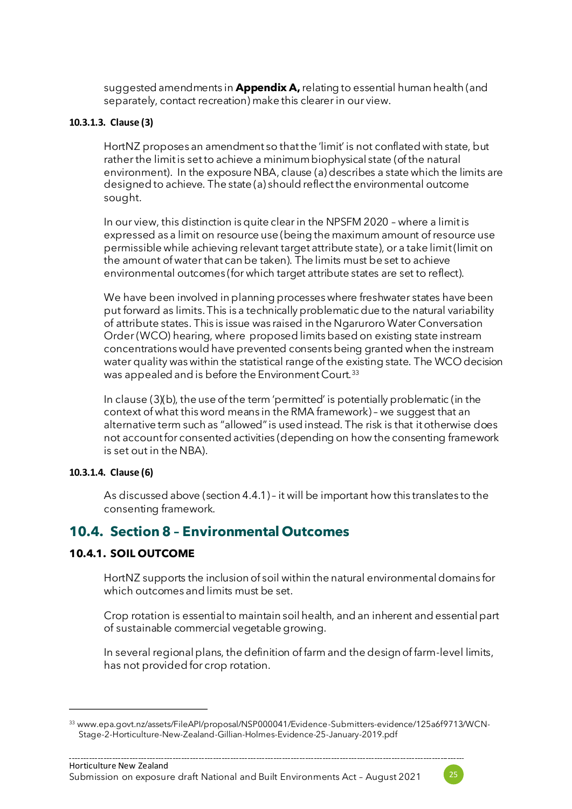suggested amendments in **Appendix A,**relating to essential human health (and separately, contact recreation) make this clearer in our view.

#### **10.3.1.3. Clause (3)**

HortNZ proposes an amendment so that the 'limit' is not conflated with state, but rather the limit is set to achieve a minimum biophysical state (of the natural environment). In the exposure NBA, clause (a) describes a state which the limits are designed to achieve. The state (a) should reflect the environmental outcome sought.

In our view, this distinction is quite clear in the NPSFM 2020 – where a limit is expressed as a limit on resource use (being the maximum amount of resource use permissible while achieving relevant target attribute state), or a take limit (limit on the amount of water that can be taken). The limits must be set to achieve environmental outcomes (for which target attribute states are set to reflect).

We have been involved in planning processes where freshwater states have been put forward as limits. This is a technically problematic due to the natural variability of attribute states. This is issue was raised in the Ngaruroro Water Conversation Order (WCO) hearing, where proposed limits based on existing state instream concentrations would have prevented consents being granted when the instream water quality was within the statistical range of the existing state. The WCO decision was appealed and is before the Environment Court.<sup>33</sup>

In clause (3)(b), the use of the term 'permitted' is potentially problematic (in the context of what this word means in the RMA framework) – we suggest that an alternative term such as "allowed" is used instead. The risk is that it otherwise does not account for consented activities (depending on how the consenting framework is set out in the NBA).

#### **10.3.1.4. Clause (6)**

As discussed above (section 4.4.1) – it will be important how this translates to the consenting framework.

### **10.4. Section 8 – Environmental Outcomes**

#### **10.4.1. SOIL OUTCOME**

HortNZ supports the inclusion of soil within the natural environmental domains for which outcomes and limits must be set.

Crop rotation is essential to maintain soil health, and an inherent and essential part of sustainable commercial vegetable growing.

In several regional plans, the definition of farm and the design of farm-level limits, has not provided for crop rotation.



<sup>33</sup> www.epa.govt.nz/assets/FileAPI/proposal/NSP000041/Evidence-Submitters-evidence/125a6f9713/WCN-Stage-2-Horticulture-New-Zealand-Gillian-Holmes-Evidence-25-January-2019.pdf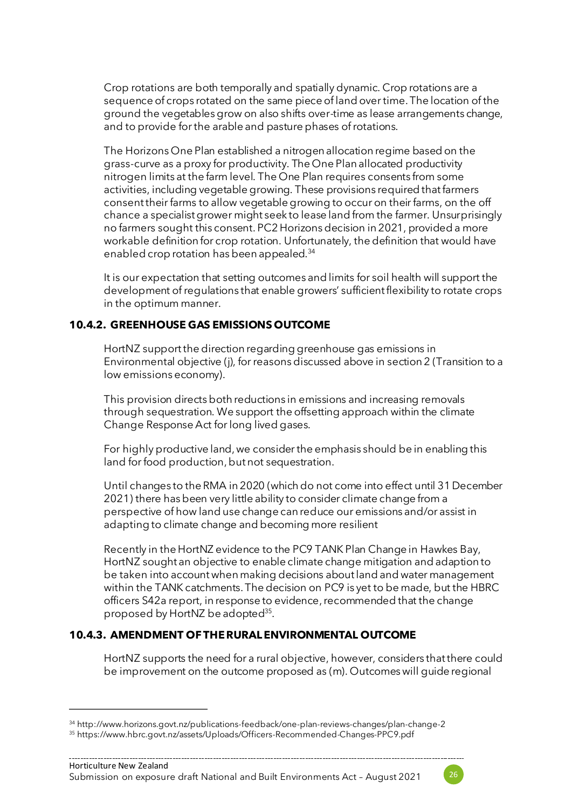Crop rotations are both temporally and spatially dynamic. Crop rotations are a sequence of crops rotated on the same piece of land over time. The location of the ground the vegetables grow on also shifts over-time as lease arrangements change, and to provide for the arable and pasture phases of rotations.

The Horizons One Plan established a nitrogen allocation regime based on the grass-curve as a proxy for productivity. The One Plan allocated productivity nitrogen limits at the farm level. The One Plan requires consents from some activities, including vegetable growing. These provisions required that farmers consent their farms to allow vegetable growing to occur on their farms, on the off chance a specialist grower might seek to lease land from the farmer. Unsurprisingly no farmers sought this consent. PC2 Horizons decision in 2021, provided a more workable definition for crop rotation. Unfortunately, the definition that would have enabled crop rotation has been appealed.<sup>34</sup>

It is our expectation that setting outcomes and limits for soil health will support the development of regulations that enable growers' sufficient flexibility to rotate crops in the optimum manner.

#### **10.4.2. GREENHOUSE GAS EMISSIONS OUTCOME**

HortNZ support the direction regarding greenhouse gas emissions in Environmental objective (j), for reasons discussed above in section 2 (Transition to a low emissions economy).

<span id="page-25-0"></span>This provision directs both reductions in emissions and increasing removals through sequestration. We support the offsetting approach within the climate Change Response Act forlong lived gases.

For highly productive land, we consider the emphasis should be in enabling this land for food production, but not sequestration.

Until changes to the RMA in 2020 (which do not come into effect until 31 December 2021) there has been very little ability to consider climate change from a perspective of how land use change can reduce our emissions and/or assist in adapting to climate change and becoming more resilient

Recently in the HortNZ evidence to the PC9 TANK Plan Change in Hawkes Bay, HortNZ sought an objective to enable climate change mitigation and adaption to be taken into account when making decisions about land and water management within the TANK catchments. The decision on PC9 is yet to be made, but the HBRC officers S42a report, in response to evidence,recommended that the change proposed by HortNZ be adopted<sup>35</sup>.

#### **10.4.3. AMENDMENT OF THE RURAL ENVIRONMENTAL OUTCOME**

HortNZ supports the need for a rural objective, however, considers that there could be improvement on the outcome proposed as (m). Outcomes will guide regional



<sup>34</sup> http://www.horizons.govt.nz/publications-feedback/one-plan-reviews-changes/plan-change-2

<sup>35</sup> https://www.hbrc.govt.nz/assets/Uploads/Officers-Recommended-Changes-PPC9.pdf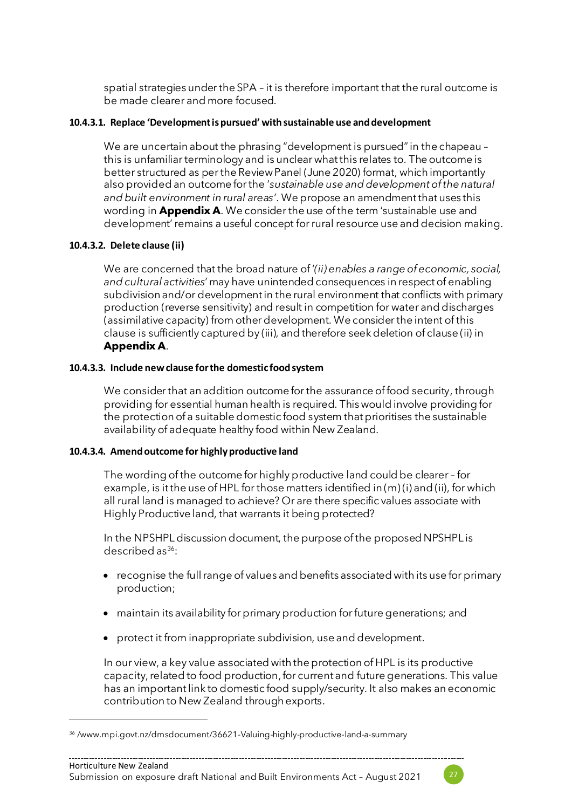spatial strategies under the SPA – it is therefore important that the rural outcome is be made clearer and more focused.

#### **10.4.3.1. Replace 'Development is pursued' with sustainable use and development**

We are uncertain about the phrasing "development is pursued" in the chapeau – this is unfamiliar terminology and is unclear what this relates to. The outcome is better structured as per the Review Panel (June 2020) format, which importantly also provided an outcome for the '*sustainable use and development of the natural and built environment in rural areas'*. We propose an amendment that uses this wording in **Appendix A**. We consider the use of the term 'sustainable use and development' remains a useful concept for rural resource use and decision making.

#### **10.4.3.2. Delete clause (ii)**

We are concerned that the broad nature of '*(ii) enables a range of economic, social, and cultural activities'* may have unintended consequences in respect of enabling subdivision and/or development in the rural environment that conflicts with primary production (reverse sensitivity) and result in competition for water and discharges (assimilative capacity) from other development. We consider the intent of this clause is sufficiently captured by (iii), and therefore seek deletion of clause (ii) in **Appendix A**.

#### **10.4.3.3. Include new clause for the domestic food system**

<span id="page-26-0"></span>We consider that an addition outcome for the assurance of food security, through providing for essential human health is required. This would involve providing for the protection of a suitable domestic food system that prioritises the sustainable availability of adequate healthy food within New Zealand.

#### **10.4.3.4. Amend outcome for highly productive land**

The wording of the outcome for highly productive land could be clearer – for example, is it the use of HPL for those matters identified in (m) (i) and (ii), for which all rural land is managed to achieve? Or are there specific values associate with Highly Productive land, that warrants it being protected?

In the NPSHPL discussion document, the purpose of the proposed NPSHPL is described as $36$ :

- recognise the full range of values and benefits associated with its use for primary production;
- maintain its availability for primary production for future generations; and
- protect it from inappropriate subdivision, use and development.

In our view, a key value associated with the protection of HPL is its productive capacity, related to food production, for current and future generations. This value has an important link to domestic food supply/security. It also makes an economic contribution to New Zealand through exports.



<sup>36</sup> /www.mpi.govt.nz/dmsdocument/36621-Valuing-highly-productive-land-a-summary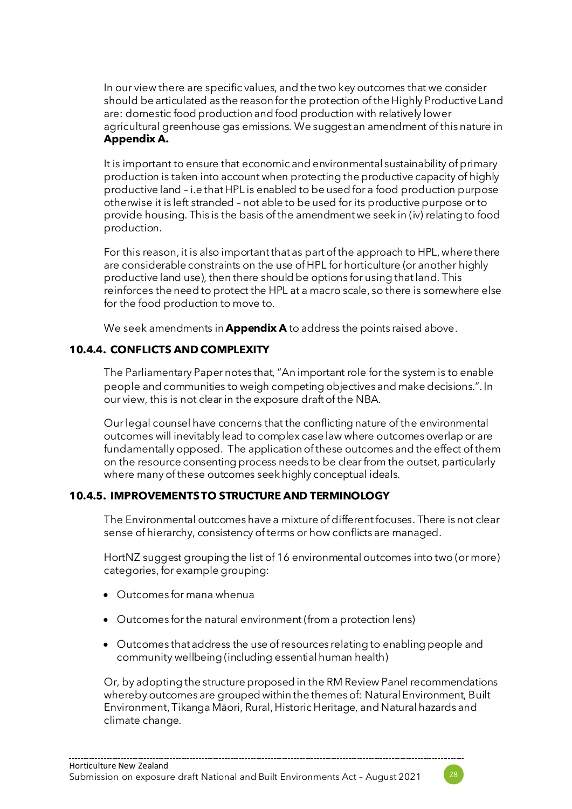<span id="page-27-0"></span>In our view there are specific values, and the two key outcomes that we consider should be articulated as the reason for the protection of the Highly Productive Land are: domestic food production and food production with relatively lower agricultural greenhouse gas emissions. We suggest an amendment of this nature in **Appendix A.**

It is important to ensure that economic and environmental sustainability of primary production is taken into account when protecting the productive capacity of highly productive land – i.e that HPL is enabled to be used for a food production purpose otherwise it is left stranded – not able to be used for its productive purpose or to provide housing. This is the basis of the amendment we seek in (iv) relating to food production.

For this reason, it is also important that as part of the approach to HPL, where there are considerable constraints on the use of HPL for horticulture (or another highly productive land use), then there should be options for using that land. This reinforces the need to protect the HPL at a macro scale, so there is somewhere else for the food production to move to.

We seek amendments in **Appendix A** to address the points raised above.

#### **10.4.4. CONFLICTS AND COMPLEXITY**

The Parliamentary Paper notes that, "An important role for the system is to enable people and communities to weigh competing objectives and make decisions.". In our view, this is not clear in the exposure draft of the NBA.

Our legal counsel have concerns that the conflicting nature of the environmental outcomes will inevitably lead to complex case law where outcomes overlap or are fundamentally opposed. The application of these outcomes and the effect of them on the resource consenting process needs to be clear from the outset, particularly where many of these outcomes seek highly conceptual ideals.

#### **10.4.5. IMPROVEMENTS TO STRUCTURE AND TERMINOLOGY**

The Environmental outcomes have a mixture of different focuses. There is not clear sense of hierarchy, consistency of terms or how conflicts are managed.

HortNZ suggest grouping the list of 16 environmental outcomes into two (or more) categories, for example grouping:

- Outcomes for mana whenua
- Outcomes for the natural environment (from a protection lens)
- Outcomes that address the use of resources relating to enabling people and community wellbeing (including essential human health)

Or, by adopting the structure proposed in the RM Review Panel recommendations whereby outcomes are grouped within the themes of: Natural Environment, Built Environment, Tikanga Māori, Rural, Historic Heritage, and Natural hazards and climate change.

--------------------------------------

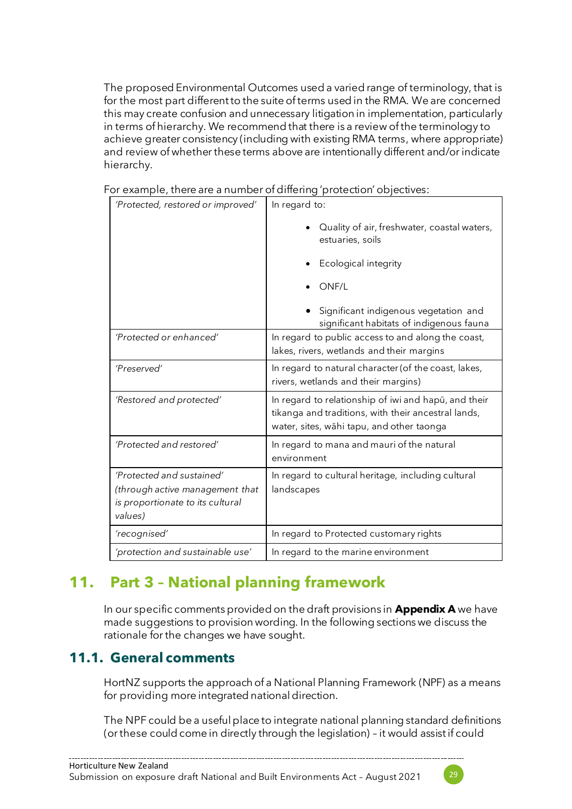The proposed Environmental Outcomes used a varied range of terminology, that is for the most part different to the suite of terms used in the RMA. We are concerned this may create confusion and unnecessary litigation in implementation, particularly in terms of hierarchy. We recommend that there is a review of the terminology to achieve greater consistency (including with existing RMA terms, where appropriate) and review of whether these terms above are intentionally different and/or indicate hierarchy.

| For example, there are a number of differing 'protection' objectives: |  |  |
|-----------------------------------------------------------------------|--|--|
|                                                                       |  |  |

| 'Protected, restored or improved'                                                                           | In regard to:                                                                                                                                            |
|-------------------------------------------------------------------------------------------------------------|----------------------------------------------------------------------------------------------------------------------------------------------------------|
|                                                                                                             | Quality of air, freshwater, coastal waters,<br>estuaries, soils                                                                                          |
|                                                                                                             | Ecological integrity                                                                                                                                     |
|                                                                                                             | ONF/L                                                                                                                                                    |
|                                                                                                             | Significant indigenous vegetation and<br>significant habitats of indigenous fauna                                                                        |
| 'Protected or enhanced'                                                                                     | In regard to public access to and along the coast,<br>lakes, rivers, wetlands and their margins                                                          |
| 'Preserved'                                                                                                 | In regard to natural character (of the coast, lakes,<br>rivers, wetlands and their margins)                                                              |
| 'Restored and protected'                                                                                    | In regard to relationship of iwi and hapū, and their<br>tikanga and traditions, with their ancestral lands,<br>water, sites, wāhi tapu, and other taonga |
| 'Protected and restored'                                                                                    | In regard to mana and mauri of the natural<br>environment                                                                                                |
| 'Protected and sustained'<br>(through active management that<br>is proportionate to its cultural<br>values) | In regard to cultural heritage, including cultural<br>landscapes                                                                                         |
| 'recognised'                                                                                                | In regard to Protected customary rights                                                                                                                  |
| 'protection and sustainable use'                                                                            | In regard to the marine environment                                                                                                                      |

## **11. Part 3 – National planning framework**

In our specific comments provided on the draft provisions in **Appendix A** we have made suggestions to provision wording. In the following sections we discuss the rationale for the changes we have sought.

## **11.1. General comments**

HortNZ supports the approach of a National Planning Framework (NPF) as a means for providing more integrated national direction.

The NPF could be a useful place to integrate national planning standard definitions (or these could come in directly through the legislation) – it would assist if could

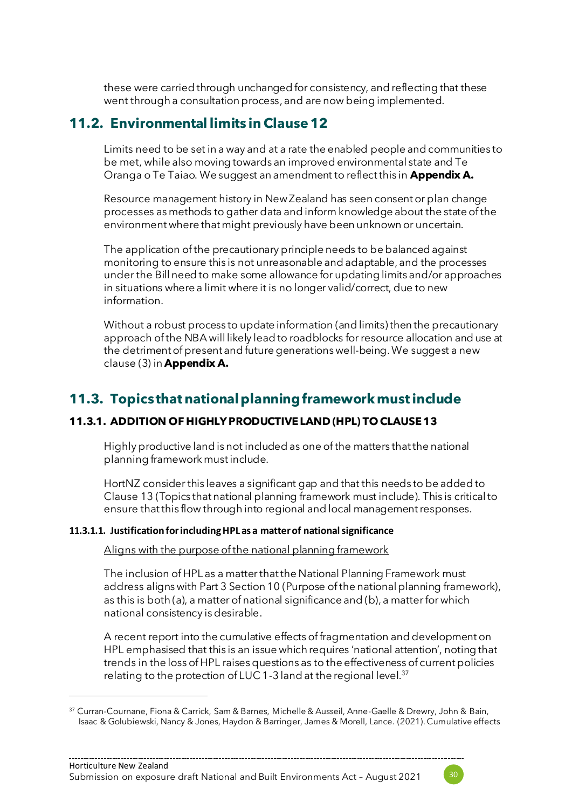<span id="page-29-1"></span>these were carried through unchanged for consistency, and reflecting that these went through a consultation process, and are now being implemented.

## **11.2. Environmental limits in Clause 12**

Limits need to be set in a way and at a rate the enabled people and communities to be met, while also moving towards an improved environmental state and Te Oranga o Te Taiao. We suggest an amendment to reflect this in **Appendix A.**

Resource management history in New Zealand has seen consent or plan change processes as methods to gather data and inform knowledge about the state of the environment where that might previously have been unknown or uncertain.

The application of the precautionary principle needs to be balanced against monitoring to ensure this is not unreasonable and adaptable, and the processes under the Bill need to make some allowance for updating limits and/or approaches in situations where a limit where it is no longer valid/correct, due to new information.

Without a robust process to update information (and limits) then the precautionary approach of the NBA will likely lead to roadblocks for resource allocation and use at the detriment of present and future generations well-being.We suggest a new clause (3) in **Appendix A.**

## **11.3. Topics that national planning framework must include**

#### <span id="page-29-0"></span>**11.3.1. ADDITION OF HIGHLY PRODUCTIVELAND (HPL) TO CLAUSE 13**

Highly productive land is not included as one of the matters that the national planning framework must include.

HortNZ consider this leaves a significant gap and that this needs to be added to Clause 13 (Topics that national planning framework must include). This is critical to ensure that this flow through into regional and local management responses.

#### **11.3.1.1. Justification for including HPL as a matter of national significance**

Aligns with the purpose of the national planning framework

The inclusion of HPL as a matter that the National Planning Framework must address aligns with Part 3 Section 10 (Purpose of the national planning framework), as this is both (a), a matter of national significance and (b), a matter for which national consistency is desirable.

A recent report into the cumulative effects of fragmentation and development on HPL emphasised that this is an issue which requires 'national attention', noting that trends in the loss of HPL raises questions as to the effectiveness of current policies relating to the protection of LUC 1-3 land at the regional level.<sup>37</sup>



<sup>37</sup> Curran-Cournane, Fiona & Carrick, Sam & Barnes, Michelle & Ausseil, Anne-Gaelle & Drewry, John & Bain, Isaac & Golubiewski, Nancy & Jones, Haydon & Barringer, James & Morell, Lance. (2021). Cumulative effects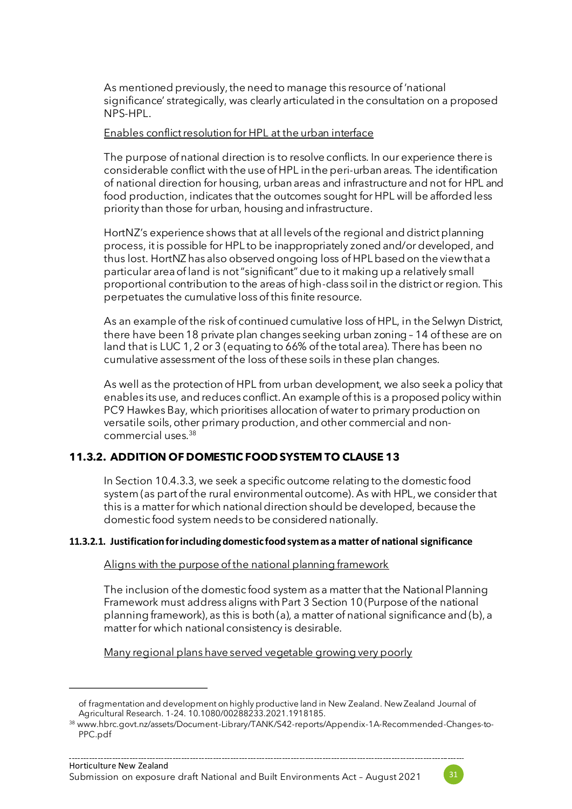As mentioned previously, the need to manage this resource of 'national significance' strategically, was clearly articulated in the consultation on a proposed NPS-HPL.

Enables conflict resolution for HPL at the urban interface

The purpose of national direction is to resolve conflicts. In our experience there is considerable conflict with the use of HPL in the peri-urban areas. The identification of national direction for housing, urban areas and infrastructure and not for HPL and food production, indicates that the outcomes sought for HPL will be afforded less priority than those for urban, housing and infrastructure.

HortNZ's experience shows that at all levels of the regional and district planning process, it is possible for HPL to be inappropriately zoned and/or developed, and thus lost. HortNZ has also observed ongoing loss of HPL based on the view that a particular area of land is not "significant" due to it making up a relatively small proportional contribution to the areas of high-class soil in the district or region. This perpetuates the cumulative loss of this finite resource.

As an example of the risk of continued cumulative loss of HPL, in the Selwyn District, there have been 18 private plan changes seeking urban zoning – 14 of these are on land that is LUC 1, 2 or 3 (equating to 66% of the total area). There has been no cumulative assessment of the loss of these soils in these plan changes.

As well as the protection of HPL from urban development, we also seek a policy that enables its use, and reduces conflict. An example of this is a proposed policy within PC9 Hawkes Bay, which prioritises allocation of water to primary production on versatile soils, other primary production, and other commercial and noncommercial uses.<sup>38</sup>

#### **11.3.2. ADDITION OF DOMESTIC FOOD SYSTEM TO CLAUSE 13**

In Section [10.4.3.3](#page-26-0), we seek a specific outcome relating to the domestic food system (as part of the rural environmental outcome). As with HPL, we consider that this is a matter for which national direction should be developed, because the domestic food system needs to be considered nationally.

#### **11.3.2.1. Justification for including domestic food system as a matter of national significance**

Aligns with the purpose of the national planning framework

The inclusion of the domestic food system as a matter that the National Planning Framework must address aligns with Part 3 Section 10 (Purpose of the national planning framework), as this is both (a), a matter of national significance and (b), a matter for which national consistency is desirable.

Many regional plans have served vegetable growing very poorly



of fragmentation and development on highly productive land in New Zealand. New Zealand Journal of Agricultural Research. 1-24. 10.1080/00288233.2021.1918185.

<sup>38</sup> www.hbrc.govt.nz/assets/Document-Library/TANK/S42-reports/Appendix-1A-Recommended-Changes-to-PPC.pdf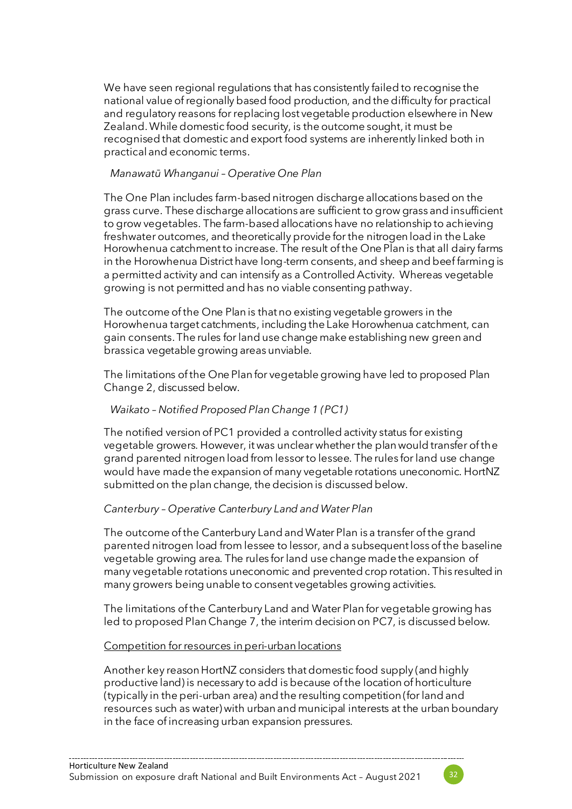We have seen regional regulations that has consistently failed to recognise the national value of regionally based food production, and the difficulty for practical and regulatory reasons for replacing lost vegetable production elsewhere in New Zealand.While domestic food security, is the outcome sought, it must be recognised that domestic and export food systems are inherently linked both in practical and economic terms.

#### *Manawatū Whanganui – Operative One Plan*

The One Plan includes farm-based nitrogen discharge allocations based on the grass curve. These discharge allocations are sufficient to grow grass and insufficient to grow vegetables. The farm-based allocations have no relationship to achieving freshwater outcomes, and theoretically provide for the nitrogen load in the Lake Horowhenua catchment to increase. The result of the One Plan is that all dairy farms in the Horowhenua District have long-term consents, and sheep and beef farming is a permitted activity and can intensify as a Controlled Activity. Whereas vegetable growing is not permitted and has no viable consenting pathway.

The outcome of the One Plan is that no existing vegetable growers in the Horowhenua target catchments, including the Lake Horowhenua catchment, can gain consents. The rules for land use change make establishing new green and brassica vegetable growing areas unviable.

The limitations of the One Plan for vegetable growing have led to proposed Plan Change 2, discussed below.

#### *Waikato – Notified Proposed Plan Change 1 (PC1)*

The notified version of PC1 provided a controlled activity status for existing vegetable growers. However, it was unclear whether the plan would transfer of the grand parented nitrogen load from lessor to lessee. The rules for land use change would have made the expansion of many vegetable rotations uneconomic. HortNZ submitted on the plan change, the decision is discussed below.

#### *Canterbury – Operative Canterbury Land and Water Plan*

The outcome of the Canterbury Land and Water Plan is a transfer of the grand parented nitrogen load from lessee to lessor, and a subsequent loss of the baseline vegetable growing area. The rules for land use change made the expansion of many vegetable rotations uneconomic and prevented crop rotation. This resulted in many growers being unable to consent vegetables growing activities.

The limitations of the Canterbury Land and Water Plan for vegetable growing has led to proposed Plan Change 7, the interim decision on PC7, is discussed below.

#### Competition for resources in peri-urban locations

Another key reason HortNZ considers that domestic food supply (and highly productive land) is necessary to add is because of the location of horticulture (typically in the peri-urban area) and the resulting competition (for land and resources such as water) with urban and municipal interests at the urban boundary in the face of increasing urban expansion pressures.

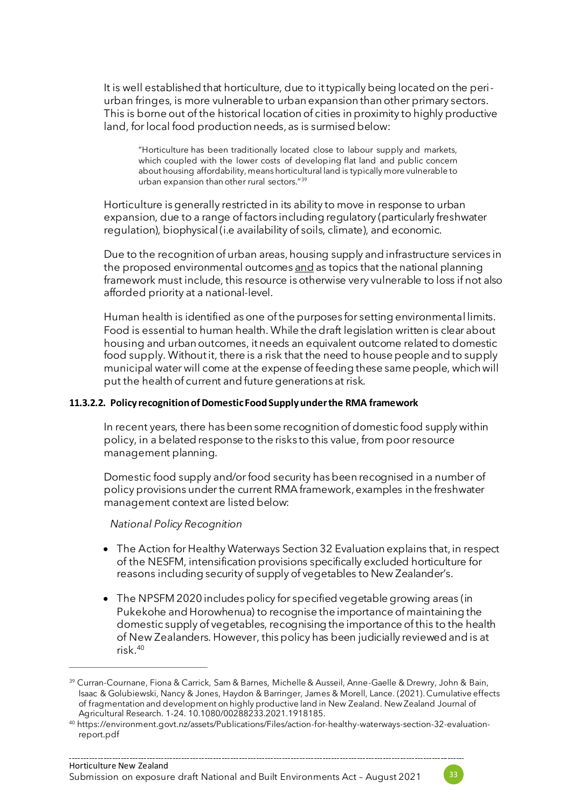It is well established that horticulture, due to it typically being located on the periurban fringes, is more vulnerable to urban expansion than other primary sectors. This is borne out of the historical location of cities in proximity to highly productive land, for local food production needs, as is surmised below:

"Horticulture has been traditionally located close to labour supply and markets, which coupled with the lower costs of developing flat land and public concern about housing affordability, means horticultural land is typically more vulnerable to urban expansion than other rural sectors."<sup>39</sup>

Horticulture is generally restricted in its ability to move in response to urban expansion, due to a range of factors including regulatory (particularly freshwater regulation), biophysical (i.e availability of soils, climate), and economic.

Due to the recognition of urban areas, housing supply and infrastructure services in the proposed environmental outcomes and as topics that the national planning framework must include, this resource is otherwise very vulnerable to loss if not also afforded priority at a national-level.

Human health is identified as one of the purposes for setting environmental limits. Food is essential to human health. While the draft legislation written is clear about housing and urban outcomes, it needs an equivalent outcome related to domestic food supply. Without it, there is a risk that the need to house people and to supply municipal water will come at the expense of feeding these same people, which will put the health of current and future generations at risk.

#### **11.3.2.2. Policy recognition of Domestic Food Supply under the RMA framework**

In recent years, there has been some recognition of domestic food supply within policy, in a belated response to the risks to this value, from poor resource management planning.

Domestic food supply and/or food security has been recognised in a number of policy provisions under the current RMA framework, examples in the freshwater management context are listed below:

*National Policy Recognition*

- The Action for Healthy Waterways Section 32 Evaluation explains that, in respect of the NESFM, intensification provisions specifically excluded horticulture for reasons including security of supply of vegetables to New Zealander's.
- The NPSFM 2020 includes policy for specified vegetable growing areas (in Pukekohe and Horowhenua) to recognise the importance of maintaining the domestic supply of vegetables, recognising the importance of this to the health of New Zealanders. However, this policy has been judicially reviewed and is at risk.<sup>40</sup>



<sup>&</sup>lt;sup>39</sup> Curran-Cournane, Fiona & Carrick, Sam & Barnes, Michelle & Ausseil, Anne-Gaelle & Drewry, John & Bain, Isaac & Golubiewski, Nancy & Jones, Haydon & Barringer, James & Morell, Lance. (2021). Cumulative effects of fragmentation and development on highly productive land in New Zealand. New Zealand Journal of Agricultural Research. 1-24. 10.1080/00288233.2021.1918185.

<sup>40</sup> https://environment.govt.nz/assets/Publications/Files/action-for-healthy-waterways-section-32-evaluationreport.pdf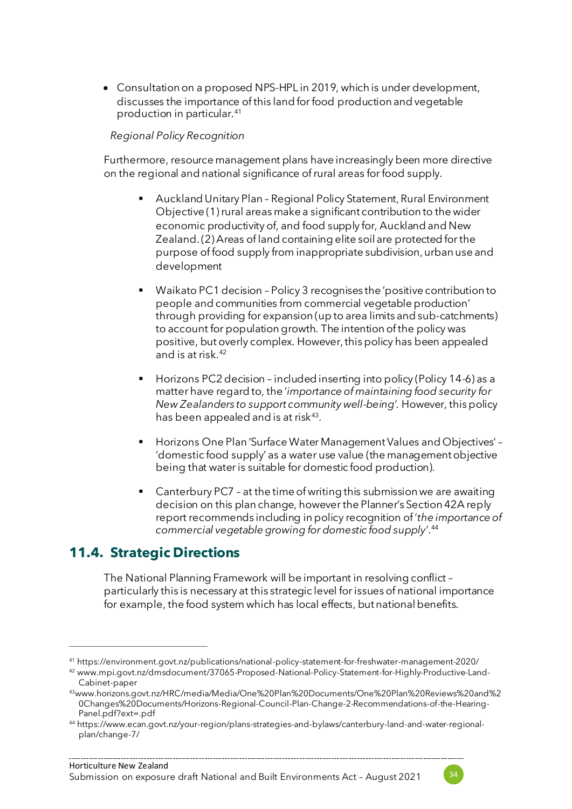• Consultation on a proposed NPS-HPL in 2019, which is under development, discusses the importance of this land for food production and vegetable production in particular.<sup>41</sup>

#### *Regional Policy Recognition*

Furthermore, resource management plans have increasingly been more directive on the regional and national significance of rural areas for food supply.

- Auckland Unitary Plan Regional Policy Statement, Rural Environment Objective (1) rural areas make a significant contribution to the wider economic productivity of, and food supply for, Auckland and New Zealand. (2) Areas of land containing elite soil are protected for the purpose of food supply from inappropriate subdivision, urban use and development
- Waikato PC1 decision Policy 3 recognises the 'positive contribution to people and communities from commercial vegetable production' through providing for expansion (up to area limits and sub-catchments) to account for population growth. The intention of the policy was positive, but overly complex. However, this policy has been appealed and is at risk.<sup>42</sup>
- Horizons PC2 decision included inserting into policy (Policy 14-6) as a matter have regard to, the '*importance of maintaining food security for New Zealanders to support community well-being'.* However, this policy has been appealed and is at risk $^{43}\!\!$ .
- Horizons One Plan 'Surface Water Management Values and Objectives' 'domestic food supply' as a water use value (the management objective being that water is suitable for domestic food production).
- Canterbury PC7 at the time of writing this submission we are awaiting decision on this plan change, however the Planner's Section 42A reply report recommends including in policy recognition of '*the importance of commercial vegetable growing for domestic food supply*'.<sup>44</sup>

### **11.4. Strategic Directions**

The National Planning Framework will be important in resolving conflict – particularly this is necessary at this strategic level for issues of national importance for example, the food system which has local effects, but national benefits.



<sup>41</sup> https://environment.govt.nz/publications/national-policy-statement-for-freshwater-management-2020/

<sup>42</sup> www.mpi.govt.nz/dmsdocument/37065-Proposed-National-Policy-Statement-for-Highly-Productive-Land-Cabinet-paper

<sup>43</sup>www.horizons.govt.nz/HRC/media/Media/One%20Plan%20Documents/One%20Plan%20Reviews%20and%2 0Changes%20Documents/Horizons-Regional-Council-Plan-Change-2-Recommendations-of-the-Hearing-Panel.pdf?ext=.pdf

<sup>44</sup> https://www.ecan.govt.nz/your-region/plans-strategies-and-bylaws/canterbury-land-and-water-regionalplan/change-7/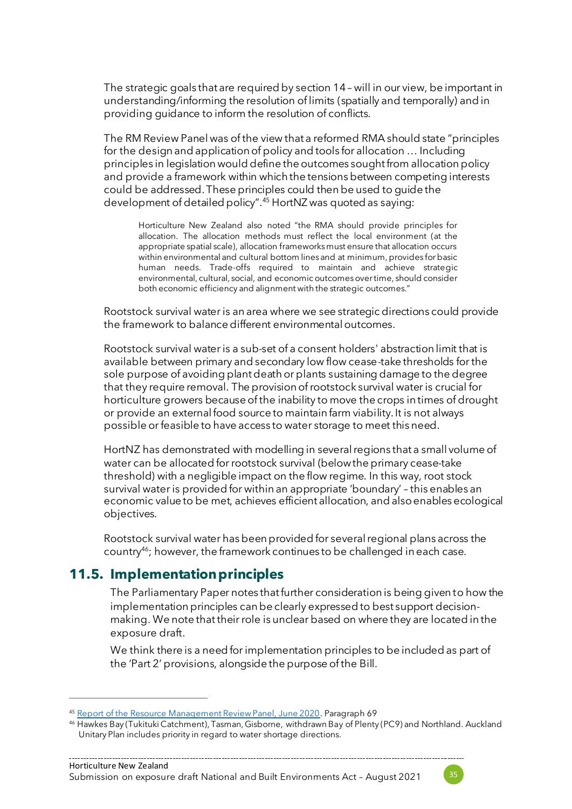The strategic goals that are required by section 14 – will in our view, be important in understanding/informing the resolution of limits (spatially and temporally) and in providing guidance to inform the resolution of conflicts.

The RM Review Panel was of the view that a reformed RMA should state "principles for the design and application of policy and tools for allocation … Including principles in legislation would define the outcomes sought from allocation policy and provide a framework within which the tensions between competing interests could be addressed. These principles could then be used to guide the development of detailed policy". <sup>45</sup> HortNZ was quoted as saying:

Horticulture New Zealand also noted "the RMA should provide principles for allocation. The allocation methods must reflect the local environment (at the appropriate spatial scale), allocation frameworks must ensure that allocation occurs within environmental and cultural bottom lines and at minimum, provides for basic human needs. Trade-offs required to maintain and achieve strategic environmental, cultural, social, and economic outcomes over time, should consider both economic efficiency and alignment with the strategic outcomes."

Rootstock survival water is an area where we see strategic directions could provide the framework to balance different environmental outcomes.

Rootstock survival water is a sub-set of a consent holders' abstraction limit that is available between primary and secondary low flow cease-take thresholds for the sole purpose of avoiding plant death or plants sustaining damage to the degree that they require removal. The provision of rootstock survival water is crucial for horticulture growers because of the inability to move the crops in times of drought or provide an external food source to maintain farm viability. It is not always possible or feasible to have access to water storage to meet this need.

HortNZ has demonstrated with modelling in several regions that a small volume of water can be allocated for rootstock survival (below the primary cease-take threshold) with a negligible impact on the flow regime. In this way, root stock survival water is provided for within an appropriate 'boundary' – this enables an economic value to be met, achieves efficient allocation, and also enables ecological objectives.

Rootstock survival water has been provided for several regional plans across the country<sup>46</sup>; however, the framework continues to be challenged in each case.

### **11.5. Implementation principles**

The Parliamentary Paper notes that further consideration is being given to how the implementation principles can be clearly expressed to best support decisionmaking. We note that their role is unclear based on where they are located in the exposure draft.

We think there is a need for implementation principles to be included as part of the 'Part 2' provisions, alongside the purpose of the Bill.



<sup>45</sup> [Report of the Resource Management Review Panel, June 2020.](https://environment.govt.nz/assets/Publications/Files/rm-panel-review-report-web.pdf) Paragraph 69

<sup>46</sup> Hawkes Bay (Tukituki Catchment), Tasman, Gisborne, withdrawn Bay of Plenty (PC9) and Northland. Auckland Unitary Plan includes priority in regard to water shortage directions.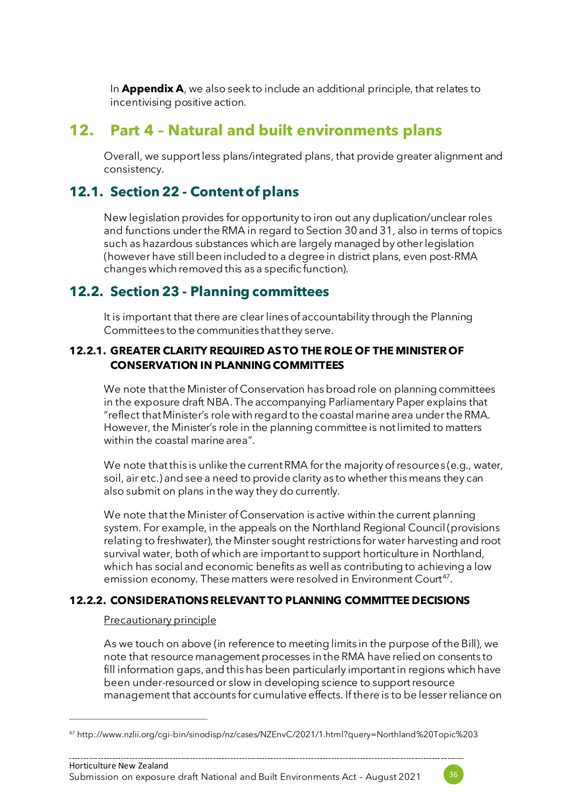In **Appendix A**, we also seek to include an additional principle, that relates to incentivising positive action.

## **12. Part 4 – Natural and built environments plans**

Overall, we support less plans/integrated plans, that provide greater alignment and consistency.

## **12.1. Section 22 - Content of plans**

New legislation provides for opportunity to iron out any duplication/unclear roles and functions under the RMA in regard to Section 30 and 31, also in terms of topics such as hazardous substances which are largely managed by other legislation (however have still been included to a degree in district plans, even post-RMA changes which removed this as a specific function).

## **12.2. Section 23 - Planning committees**

It is important that there are clear lines of accountability through the Planning Committees to the communities that they serve.

#### **12.2.1. GREATER CLARITY REQUIRED AS TO THE ROLE OF THE MINISTER OF CONSERVATION IN PLANNING COMMITTEES**

We note that the Minister of Conservation has broad role on planning committees in the exposure draft NBA. The accompanying Parliamentary Paper explains that "reflect that Minister's role with regard to the coastal marine area under the RMA. However, the Minister's role in the planning committee is not limited to matters within the coastal marine area".

We note that this is unlike the current RMA for the majority of resources (e.g., water, soil, air etc.) and see a need to provide clarity as to whether this means they can also submit on plans in the way they do currently.

We note that the Minister of Conservation is active within the current planning system. For example, in the appeals on the Northland Regional Council (provisions relating to freshwater), the Minster sought restrictions for water harvesting and root survival water, both of which are important to support horticulture in Northland, which has social and economic benefits as well as contributing to achieving a low emission economy. These matters were resolved in Environment Court<sup>47</sup>.

#### **12.2.2. CONSIDERATIONS RELEVANT TO PLANNING COMMITTEE DECISIONS**

#### Precautionary principle

As we touch on above (in reference to meeting limits in the purpose of the Bill), we note that resource management processes in the RMA have relied on consents to fill information gaps, and this has been particularly important in regions which have been under-resourced or slow in developing science to support resource management that accounts for cumulative effects. If there is to be lesser reliance on



<sup>47</sup> http://www.nzlii.org/cgi-bin/sinodisp/nz/cases/NZEnvC/2021/1.html?query=Northland%20Topic%203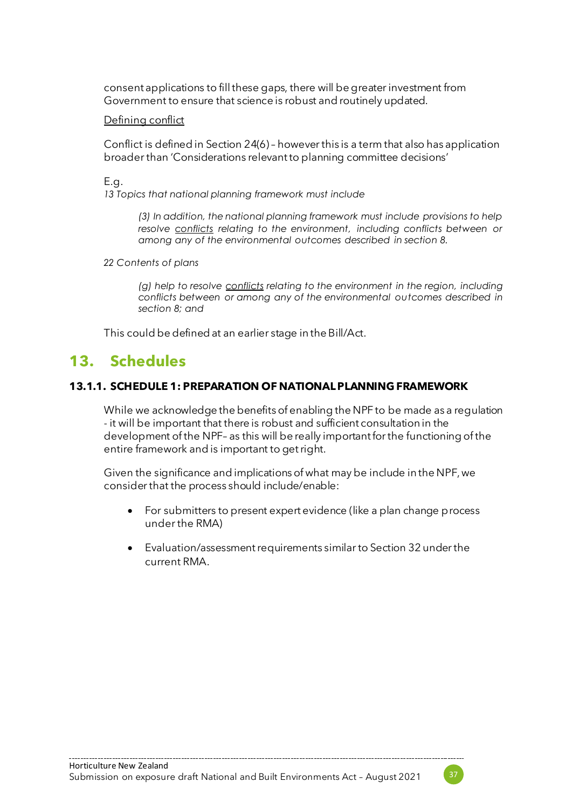consent applications to fill these gaps, there will be greater investment from Government to ensure that science is robust and routinely updated.

#### Defining conflict

Conflict is defined in Section 24(6) – however this is a term that also has application broader than 'Considerations relevant to planning committee decisions'

E.g.

*13 Topics that national planning framework must include*

*(3) In addition, the national planning framework must include provisions to help resolve conflicts relating to the environment, including conflicts between or among any of the environmental outcomes described in section 8.*

*22 Contents of plans*

*(g) help to resolve conflicts relating to the environment in the region, including conflicts between or among any of the environmental outcomes described in section 8; and*

This could be defined at an earlier stage in the Bill/Act.

## **13. Schedules**

#### **13.1.1. SCHEDULE 1: PREPARATION OF NATIONAL PLANNING FRAMEWORK**

While we acknowledge the benefits of enabling the NPF to be made as a regulation - it will be important that there is robust and sufficient consultation in the development of the NPF– as this will be really important for the functioning of the entire framework and is important to get right.

Given the significance and implications of what may be include in the NPF, we consider that the process should include/enable:

- For submitters to present expert evidence (like a plan change process under the RMA)
- Evaluation/assessment requirements similar to Section 32 under the current RMA.

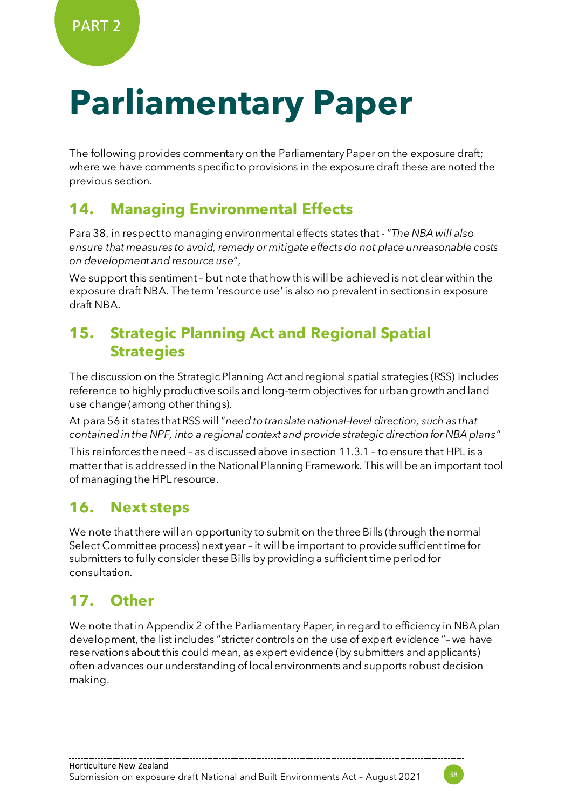## **Parliamentary Paper**

The following provides commentary on the Parliamentary Paper on the exposure draft; where we have comments specific to provisions in the exposure draft these are noted the previous section.

## **14. Managing Environmental Effects**

Para 38, in respect to managing environmental effects states that - "*The NBA will also ensure that measures to avoid, remedy or mitigate effects do not place unreasonable costs on development and resource use*",

We support this sentiment – but note that how this will be achieved is not clear within the exposure draft NBA. The term 'resource use' is also no prevalent in sections in exposure draft NBA.

## **15. Strategic Planning Act and Regional Spatial Strategies**

The discussion on the Strategic Planning Act and regional spatial strategies (RSS) includes reference to highly productive soils and long-term objectives for urban growth and land use change (among other things).

At para 56 it states that RSS will "*need to translate national-level direction, such as that contained in the NPF, into a regional context and provide strategic direction for NBA plans*"

This reinforces the need – as discussed above in sectio[n 11.3.1](#page-29-0) – to ensure that HPL is a matter that is addressed in the National Planning Framework. This will be an important tool of managing the HPL resource.

## **16. Next steps**

We note that there will an opportunity to submit on the three Bills (through the normal Select Committee process) next year – it will be important to provide sufficient time for submitters to fully consider these Bills by providing a sufficient time period for consultation.

## **17. Other**

We note that in Appendix 2 of the Parliamentary Paper, in regard to efficiency in NBA plan development, the list includes "stricter controls on the use of expert evidence "– we have reservations about this could mean, as expert evidence (by submitters and applicants) often advances our understanding of local environments and supports robust decision making.

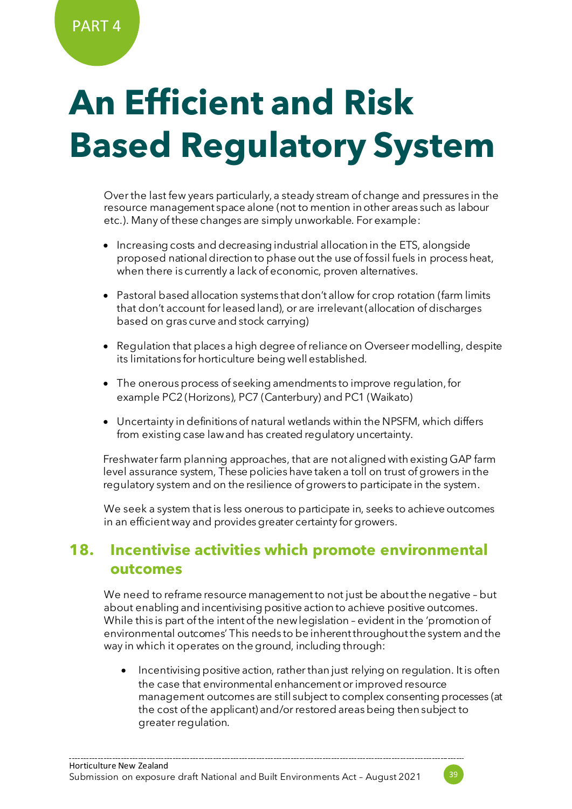# **An Efficient and Risk Based Regulatory System**

Overthe last few years particularly, a steady stream of change and pressures in the resource management space alone (not to mention in other areas such as labour etc.). Many of these changes are simply unworkable. For example:

- Increasing costs and decreasing industrial allocation in the ETS, alongside proposed national direction to phase out the use of fossil fuels in process heat, when there is currently a lack of economic, proven alternatives.
- Pastoral based allocation systems that don't allow for crop rotation (farm limits that don't account for leased land), or are irrelevant (allocation of discharges based on gras curve and stock carrying)
- Regulation that places a high degree of reliance on Overseer modelling, despite its limitations for horticulture being well established.
- The onerous process of seeking amendments to improve regulation, for example PC2 (Horizons), PC7 (Canterbury) and PC1 (Waikato)
- Uncertainty in definitions of natural wetlands within the NPSFM, which differs from existing case law and has created regulatory uncertainty.

Freshwater farm planning approaches, that are not aligned with existing GAP farm level assurance system, These policies have taken a toll on trust of growers in the regulatory system and on the resilience of growers to participate in the system.

We seek a system that is less onerous to participate in, seeks to achieve outcomes in an efficient way and provides greater certainty for growers.

## **18. Incentivise activities which promote environmental outcomes**

We need to reframe resource management to not just be about the negative – but about enabling and incentivising positive action to achieve positive outcomes. While this is part of the intent of the new legislation – evident in the 'promotion of environmental outcomes' This needs to be inherent throughout the system and the way in which it operates on the ground, including through:

• Incentivising positive action, rather than just relying on regulation. It is often the case that environmental enhancement or improved resource management outcomes are still subject to complex consenting processes (at the cost of the applicant) and/or restored areas being then subject to greater regulation.

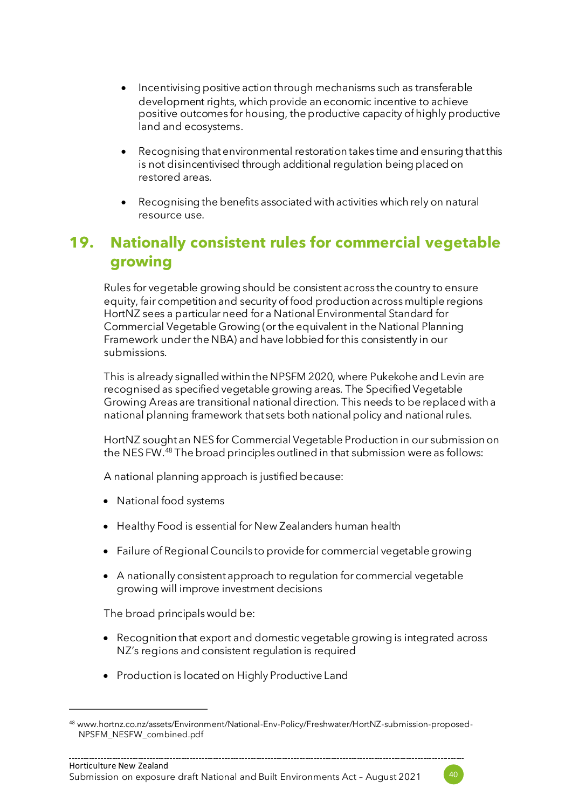- Incentivising positive action through mechanisms such as transferable development rights, which provide an economic incentive to achieve positive outcomes for housing, the productive capacity of highly productive land and ecosystems.
- Recognising that environmental restoration takes time and ensuring that this is not disincentivised through additional regulation being placed on restored areas.
- Recognising the benefits associated with activities which rely on natural resource use.

## **19. Nationally consistent rules for commercial vegetable growing**

Rules for vegetable growing should be consistent across the country to ensure equity, fair competition and security of food production across multiple regions HortNZ sees a particular need for a National Environmental Standard for Commercial Vegetable Growing (or the equivalent in the National Planning Framework under the NBA) and have lobbied for this consistently in our submissions.

This is already signalled within the NPSFM 2020, where Pukekohe and Levin are recognised as specified vegetable growing areas. The Specified Vegetable Growing Areas are transitional national direction. This needs to be replaced with a national planning framework that sets both national policy and national rules.

HortNZ sought an NES for CommercialVegetable Production in our submission on the NES FW.<sup>48</sup> The broad principles outlined in that submission were as follows:

A national planning approach is justified because:

- National food systems
- Healthy Food is essential for New Zealanders human health
- Failure of Regional Councils to provide for commercial vegetable growing
- A nationally consistent approach to regulation for commercial vegetable growing will improve investment decisions

The broad principals would be:

- Recognition that export and domestic vegetable growing is integrated across NZ's regions and consistent regulation is required
- Production is located on Highly Productive Land



<sup>48</sup> www.hortnz.co.nz/assets/Environment/National-Env-Policy/Freshwater/HortNZ-submission-proposed-NPSFM\_NESFW\_combined.pdf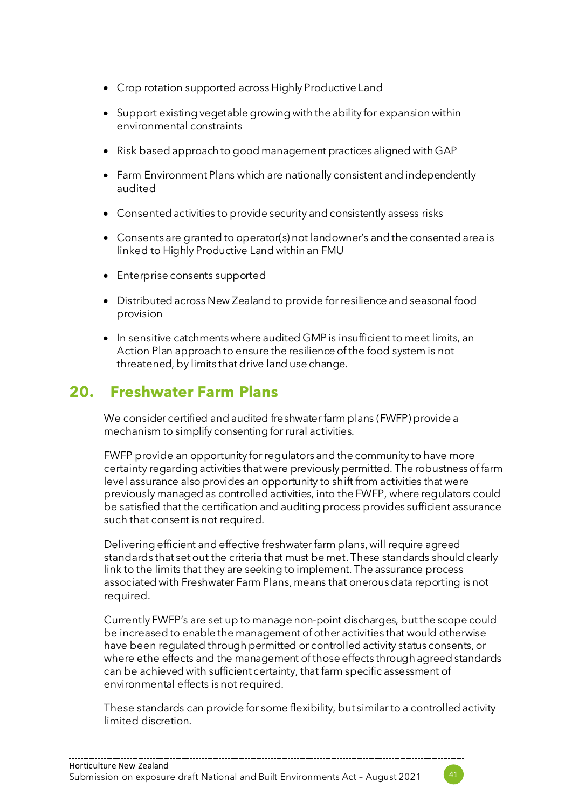- Crop rotation supported across Highly Productive Land
- Support existing vegetable growing with the ability for expansion within environmental constraints
- Risk based approach to good management practices aligned with GAP
- Farm Environment Plans which are nationally consistent and independently audited
- Consented activities to provide security and consistently assess risks
- Consents are granted to operator(s) not landowner's and the consented area is linked to Highly Productive Land within an FMU
- Enterprise consents supported
- Distributed across New Zealand to provide for resilience and seasonal food provision
- In sensitive catchments where audited GMP is insufficient to meet limits, an Action Plan approach to ensure the resilience of the food system is not threatened, by limits that drive land use change.

## **20. Freshwater Farm Plans**

We consider certified and audited freshwater farm plans (FWFP) provide a mechanism to simplify consenting for rural activities.

FWFP provide an opportunity for regulators and the community to have more certainty regarding activities that were previously permitted. The robustness of farm level assurance also provides an opportunity to shift from activities that were previously managed as controlled activities, into the FWFP, where regulators could be satisfied that the certification and auditing process provides sufficient assurance such that consent is not required.

Delivering efficient and effective freshwater farm plans, will require agreed standards that set out the criteria that must be met. These standards should clearly link to the limits that they are seeking to implement. The assurance process associated with Freshwater Farm Plans, means that onerous data reporting is not required.

Currently FWFP's are set up to manage non-point discharges, but the scope could be increased to enable the management of other activities that would otherwise have been regulated through permitted or controlled activity status consents, or where ethe effects and the management of those effects through agreed standards can be achieved with sufficient certainty, that farm specific assessment of environmental effects is not required.

These standards can provide for some flexibility, but similar to a controlled activity limited discretion.

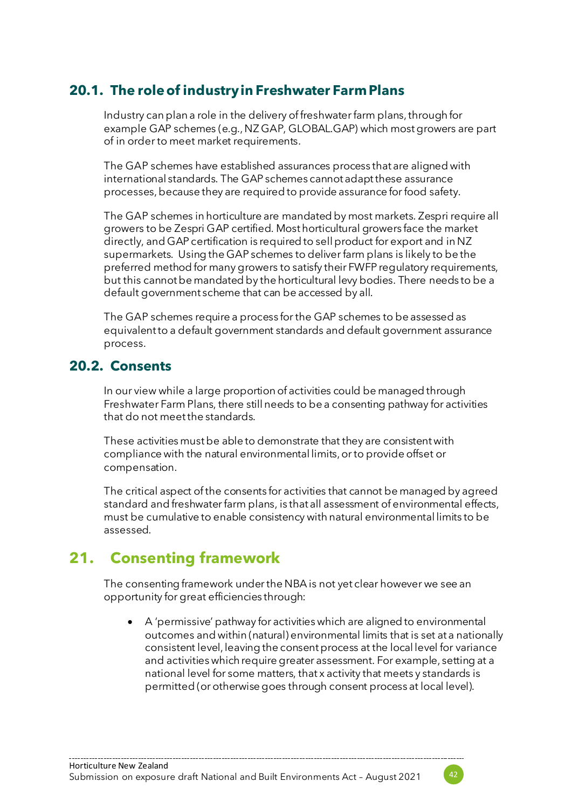## **20.1. The role of industry in Freshwater Farm Plans**

Industry can plan a role in the delivery of freshwater farm plans, through for example GAP schemes (e.g., NZ GAP, GLOBAL.GAP) which most growers are part of in order to meet market requirements.

The GAP schemes have established assurances process that are aligned with international standards. The GAP schemes cannot adapt these assurance processes, because they are required to provide assurance for food safety.

The GAP schemes in horticulture are mandated by most markets. Zespri require all growers to be Zespri GAP certified. Most horticultural growers face the market directly, and GAP certification is required to sell product for export and in NZ supermarkets. Using the GAP schemes to deliver farm plans is likely to be the preferred method for many growers to satisfy their FWFP regulatory requirements, but this cannot be mandated by the horticultural levy bodies. There needs to be a default government scheme that can be accessed by all.

The GAP schemes require a process for the GAP schemes to be assessed as equivalent to a default government standards and default government assurance process.

#### **20.2. Consents**

In our view while a large proportion of activities could be managed through Freshwater Farm Plans, there still needs to be a consenting pathway for activities that do not meet the standards.

These activities must be able to demonstrate that they are consistent with compliance with the natural environmental limits, or to provide offset or compensation.

The critical aspect of the consents for activities that cannot be managed by agreed standard and freshwater farm plans, is that all assessment of environmental effects, must be cumulative to enable consistency with natural environmental limits to be assessed.

## **21. Consenting framework**

The consenting framework under the NBA is not yet clear however we see an opportunity for great efficiencies through:

• A 'permissive' pathway for activities which are aligned to environmental outcomes and within (natural) environmental limits that is set at a nationally consistent level, leaving the consent process at the local level for variance and activities which require greater assessment. For example, setting at a national level for some matters, that x activity that meets y standards is permitted (or otherwise goes through consent process at local level).

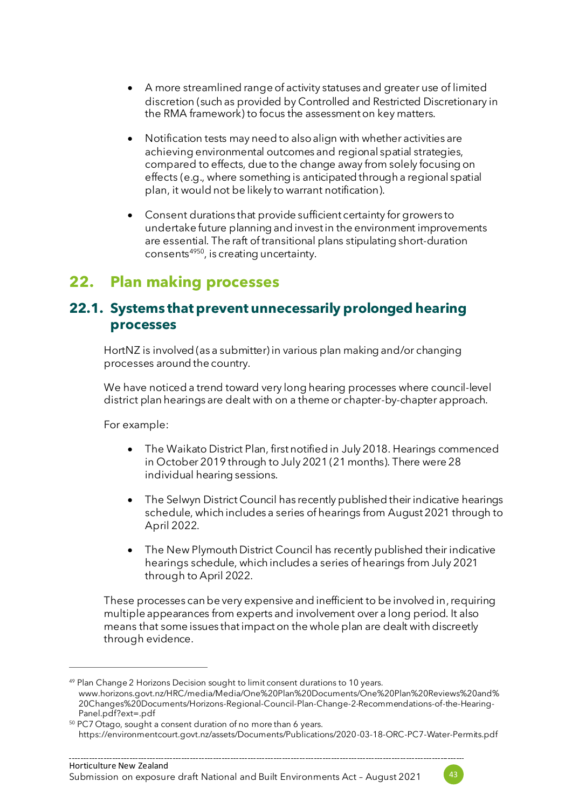- A more streamlined range of activity statuses and greater use of limited discretion (such as provided by Controlled and Restricted Discretionary in the RMA framework) to focus the assessment on key matters.
- Notification tests may need to also align with whether activities are achieving environmental outcomes and regional spatial strategies, compared to effects, due to the change away from solely focusing on effects (e.g., where something is anticipated through a regional spatial plan, it would not be likely to warrant notification).
- Consent durations that provide sufficient certainty for growers to undertake future planning and invest in the environment improvements are essential. The raft of transitional plans stipulating short-duration consents<sup>4950</sup>, is creating uncertainty.

## **22. Plan making processes**

#### **22.1. Systems that prevent unnecessarily prolonged hearing processes**

HortNZ is involved (as a submitter) in various plan making and/or changing processes around the country.

We have noticed a trend toward very long hearing processes where council-level district plan hearings are dealt with on a theme or chapter-by-chapter approach.

For example:

- The Waikato District Plan, first notified in July 2018. Hearings commenced in October 2019 through to July 2021 (21 months). There were 28 individual hearing sessions.
- The Selwyn District Council has recently published their indicative hearings schedule, which includes a series of hearings from August 2021 through to April 2022.
- The New Plymouth District Council has recently published their indicative hearings schedule, which includes a series of hearings from July 2021 through to April 2022.

These processes can be very expensive and inefficient to be involved in, requiring multiple appearances from experts and involvement over a long period. It also means that some issues that impact on the whole plan are dealt with discreetly through evidence.



<sup>&</sup>lt;sup>49</sup> Plan Change 2 Horizons Decision sought to limit consent durations to 10 years. www.horizons.govt.nz/HRC/media/Media/One%20Plan%20Documents/One%20Plan%20Reviews%20and% 20Changes%20Documents/Horizons-Regional-Council-Plan-Change-2-Recommendations-of-the-Hearing-Panel.pdf?ext=.pdf

<sup>50</sup> PC7 Otago, sought a consent duration of no more than 6 years. https://environmentcourt.govt.nz/assets/Documents/Publications/2020-03-18-ORC-PC7-Water-Permits.pdf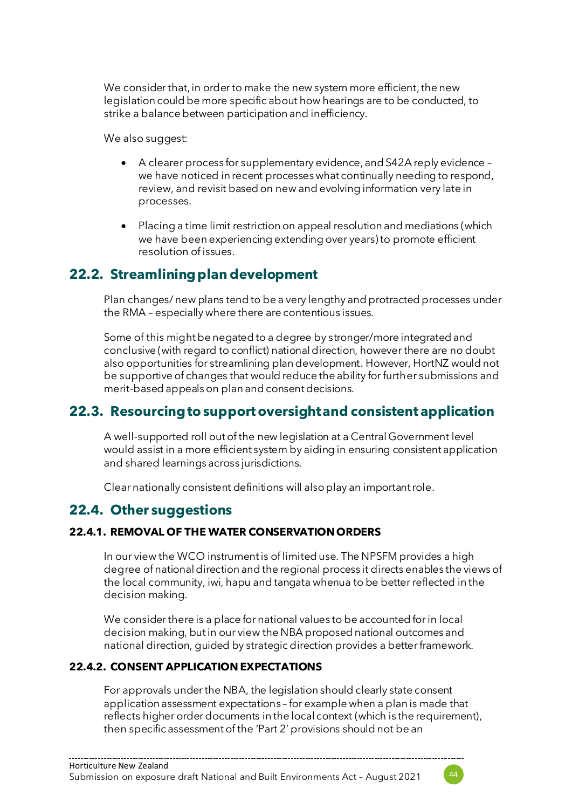We consider that, in order to make the new system more efficient, the new legislation could be more specific about how hearings are to be conducted, to strike a balance between participation and inefficiency.

We also suggest:

- A clearer process for supplementary evidence, and S42A reply evidence we have noticed in recent processes what continually needing to respond, review, and revisit based on new and evolving information very late in processes.
- Placing a time limit restriction on appeal resolution and mediations (which we have been experiencing extending over years) to promote efficient resolution of issues.

## **22.2. Streamlining plan development**

Plan changes/ new plans tend to be a very lengthy and protracted processes under the RMA – especially where there are contentious issues.

Some of this might be negated to a degree by stronger/more integrated and conclusive (with regard to conflict) national direction, however there are no doubt also opportunities for streamlining plan development. However, HortNZ would not be supportive of changes that would reduce the ability for further submissions and merit-based appeals on plan and consent decisions.

## **22.3. Resourcing to support oversight and consistent application**

A well-supported roll out of the new legislation at a Central Government level would assist in a more efficient system by aiding in ensuring consistent application and shared learnings across jurisdictions.

Clear nationally consistent definitions will alsoplay an important role.

## **22.4. Other suggestions**

#### **22.4.1. REMOVAL OF THE WATER CONSERVATION ORDERS**

In our view the WCO instrument is of limited use. The NPSFM provides a high degree of national direction and the regional process it directs enables the views of the local community, iwi, hapu and tangata whenua to be better reflected in the decision making.

We consider there is a place for national values to be accounted for in local decision making, but in our view the NBA proposed national outcomes and national direction, guided by strategic direction provides a better framework.

#### **22.4.2. CONSENT APPLICATION EXPECTATIONS**

For approvals under the NBA, the legislation should clearly state consent application assessment expectations – for example when a plan is made that reflects higher order documents in the local context (which is the requirement), then specific assessment of the 'Part 2' provisions should not be an

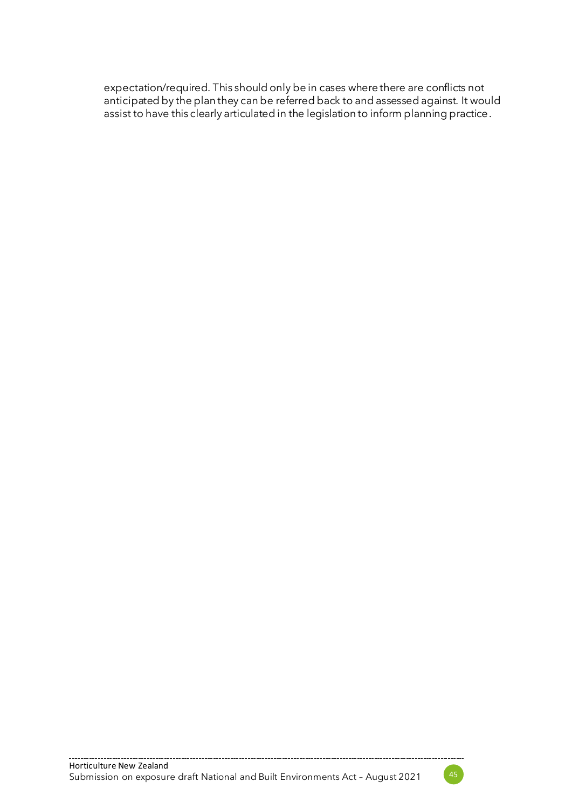expectation/required. This should only be in cases where there are conflicts not anticipated by the plan they can be referred back to and assessed against. It would assist to have this clearly articulated in the legislation to inform planning practice.

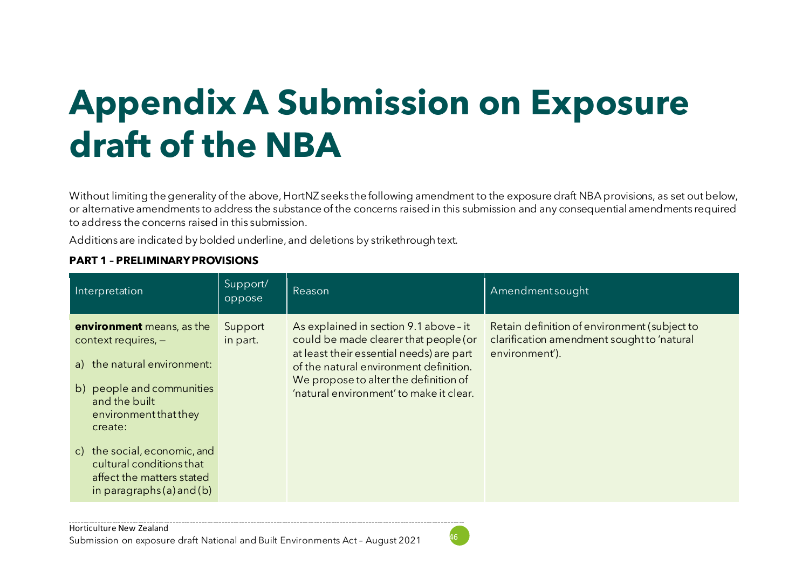## **Appendix A Submission on Exposure draft of the NBA**

Without limiting the generality of the above, HortNZ seeks the following amendment to the exposure draft NBA provisions, as set out below, or alternative amendments to address the substance of the concerns raised in this submission and any consequential amendments required to address the concerns raised in this submission.

Additions are indicated by bolded underline, and deletions by strikethrough text.

#### **PART 1 – PRELIMINARY PROVISIONS**

| Interpretation                                                                                                                                                      | Support/<br>oppose  | Reason                                                                                                                                                                                                                                                    | Amendmentsought                                                                                              |
|---------------------------------------------------------------------------------------------------------------------------------------------------------------------|---------------------|-----------------------------------------------------------------------------------------------------------------------------------------------------------------------------------------------------------------------------------------------------------|--------------------------------------------------------------------------------------------------------------|
| environment means, as the<br>context requires, $-$<br>a) the natural environment:<br>b) people and communities<br>and the built<br>environment that they<br>create: | Support<br>in part. | As explained in section 9.1 above - it<br>could be made clearer that people (or<br>at least their essential needs) are part<br>of the natural environment definition.<br>We propose to alter the definition of<br>'natural environment' to make it clear. | Retain definition of environment (subject to<br>clarification amendment sought to 'natural<br>environment'). |
| c) the social, economic, and<br>cultural conditions that<br>affect the matters stated<br>in paragraphs $(a)$ and $(b)$                                              |                     |                                                                                                                                                                                                                                                           |                                                                                                              |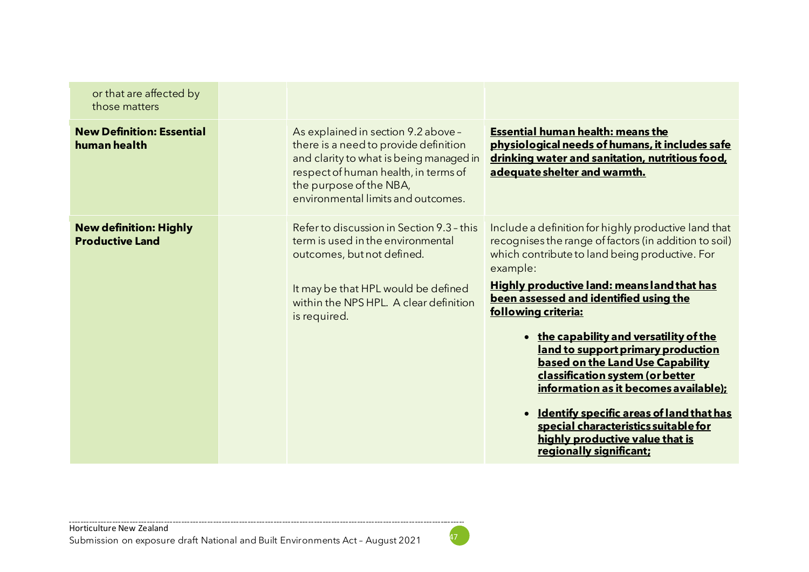| or that are affected by<br>those matters                |                                                                                                                                                                                                                                  |                                                                                                                                                                                                                                                                                                                                                    |
|---------------------------------------------------------|----------------------------------------------------------------------------------------------------------------------------------------------------------------------------------------------------------------------------------|----------------------------------------------------------------------------------------------------------------------------------------------------------------------------------------------------------------------------------------------------------------------------------------------------------------------------------------------------|
| <b>New Definition: Essential</b><br>human health        | As explained in section 9.2 above -<br>there is a need to provide definition<br>and clarity to what is being managed in<br>respect of human health, in terms of<br>the purpose of the NBA,<br>environmental limits and outcomes. | <b>Essential human health: means the</b><br>physiological needs of humans, it includes safe<br>drinking water and sanitation, nutritious food,<br>adequate shelter and warmth.                                                                                                                                                                     |
| <b>New definition: Highly</b><br><b>Productive Land</b> | Refer to discussion in Section 9.3 - this<br>term is used in the environmental<br>outcomes, but not defined.<br>It may be that HPL would be defined<br>within the NPS HPL. A clear definition<br>is required.                    | Include a definition for highly productive land that<br>recognises the range of factors (in addition to soil)<br>which contribute to land being productive. For<br>example:<br><b>Highly productive land: means land that has</b><br>been assessed and identified using the<br>following criteria:                                                 |
|                                                         |                                                                                                                                                                                                                                  | • the capability and versatility of the<br>land to support primary production<br>based on the Land Use Capability<br>classification system (or better<br>information as it becomes available);<br>• Identify specific areas of land that has<br>special characteristics suitable for<br>highly productive value that is<br>regionally significant; |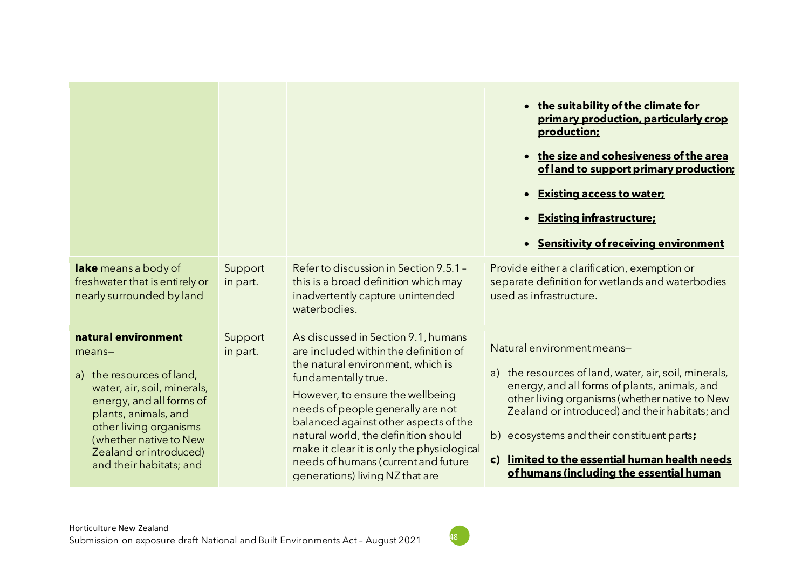|                                                                                                                                                                                                                                                           |                     |                                                                                                                                                                                                                                                                                                                                                                                                                            | • the suitability of the climate for<br>primary production, particularly crop<br>production;<br>• the size and cohesiveness of the area<br>of land to support primary production;<br><b>Existing access to water;</b><br><b>Existing infrastructure:</b><br>$\bullet$<br><b>Sensitivity of receiving environment</b><br>$\bullet$                                                   |
|-----------------------------------------------------------------------------------------------------------------------------------------------------------------------------------------------------------------------------------------------------------|---------------------|----------------------------------------------------------------------------------------------------------------------------------------------------------------------------------------------------------------------------------------------------------------------------------------------------------------------------------------------------------------------------------------------------------------------------|-------------------------------------------------------------------------------------------------------------------------------------------------------------------------------------------------------------------------------------------------------------------------------------------------------------------------------------------------------------------------------------|
| lake means a body of<br>freshwater that is entirely or<br>nearly surrounded by land                                                                                                                                                                       | Support<br>in part. | Refer to discussion in Section 9.5.1 -<br>this is a broad definition which may<br>inadvertently capture unintended<br>waterbodies.                                                                                                                                                                                                                                                                                         | Provide either a clarification, exemption or<br>separate definition for wetlands and waterbodies<br>used as infrastructure.                                                                                                                                                                                                                                                         |
| natural environment<br>$means -$<br>a) the resources of land,<br>water, air, soil, minerals,<br>energy, and all forms of<br>plants, animals, and<br>other living organisms<br>(whether native to New<br>Zealand or introduced)<br>and their habitats; and | Support<br>in part. | As discussed in Section 9.1, humans<br>are included within the definition of<br>the natural environment, which is<br>fundamentally true.<br>However, to ensure the wellbeing<br>needs of people generally are not<br>balanced against other aspects of the<br>natural world, the definition should<br>make it clear it is only the physiological<br>needs of humans (current and future<br>generations) living NZ that are | Natural environment means-<br>a) the resources of land, water, air, soil, minerals,<br>energy, and all forms of plants, animals, and<br>other living organisms (whether native to New<br>Zealand or introduced) and their habitats; and<br>b) ecosystems and their constituent parts:<br>c) limited to the essential human health needs<br>of humans (including the essential human |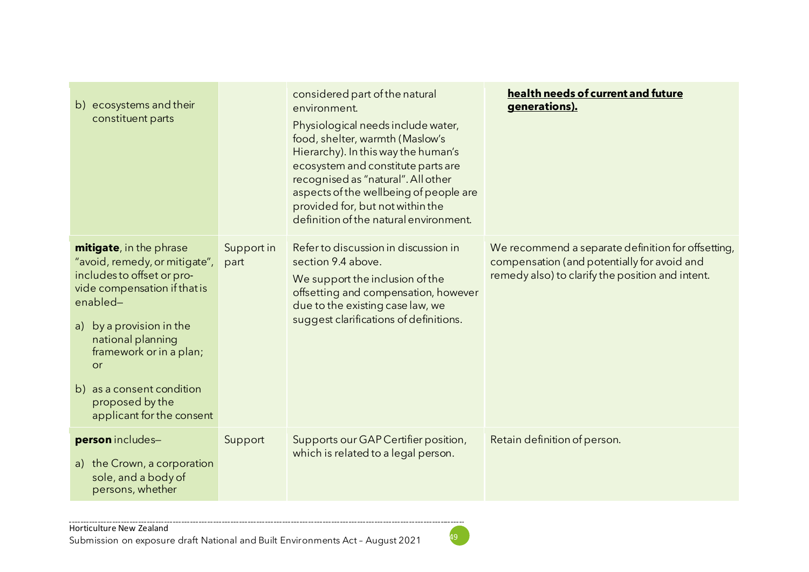| b) ecosystems and their<br>constituent parts                                                                                                                                                                                                                                                                |                    | considered part of the natural<br>environment.<br>Physiological needs include water,<br>food, shelter, warmth (Maslow's<br>Hierarchy). In this way the human's<br>ecosystem and constitute parts are<br>recognised as "natural". All other<br>aspects of the wellbeing of people are<br>provided for, but not within the<br>definition of the natural environment. | health needs of current and future<br>generations).                                                                                                   |
|-------------------------------------------------------------------------------------------------------------------------------------------------------------------------------------------------------------------------------------------------------------------------------------------------------------|--------------------|--------------------------------------------------------------------------------------------------------------------------------------------------------------------------------------------------------------------------------------------------------------------------------------------------------------------------------------------------------------------|-------------------------------------------------------------------------------------------------------------------------------------------------------|
| mitigate, in the phrase<br>"avoid, remedy, or mitigate",<br>includes to offset or pro-<br>vide compensation if that is<br>enabled-<br>a) by a provision in the<br>national planning<br>framework or in a plan;<br><b>or</b><br>as a consent condition<br>b)<br>proposed by the<br>applicant for the consent | Support in<br>part | Refer to discussion in discussion in<br>section 9.4 above.<br>We support the inclusion of the<br>offsetting and compensation, however<br>due to the existing case law, we<br>suggest clarifications of definitions.                                                                                                                                                | We recommend a separate definition for offsetting,<br>compensation (and potentially for avoid and<br>remedy also) to clarify the position and intent. |
| person includes-<br>a) the Crown, a corporation<br>sole, and a body of<br>persons, whether                                                                                                                                                                                                                  | Support            | Supports our GAP Certifier position,<br>which is related to a legal person.                                                                                                                                                                                                                                                                                        | Retain definition of person.                                                                                                                          |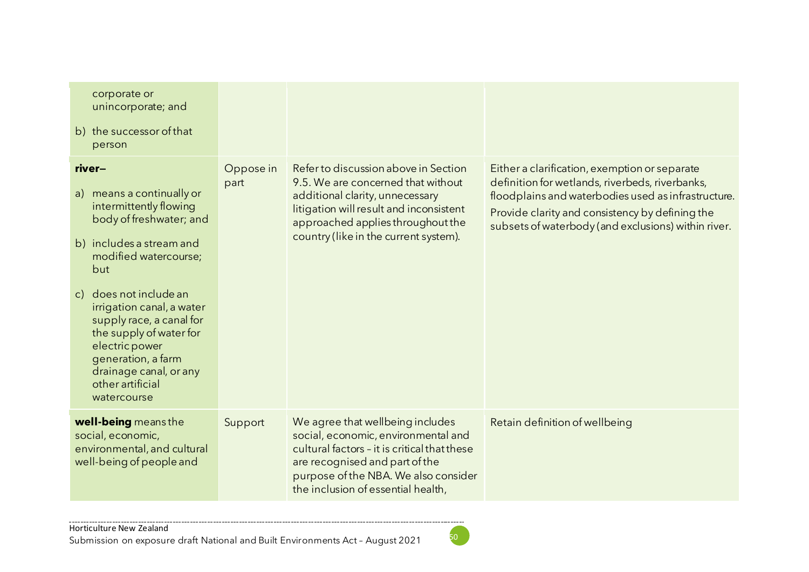| corporate or<br>unincorporate; and<br>b) the successor of that<br>person                                                                                                                                                                                                                                                                                                                  |                   |                                                                                                                                                                                                                                         |                                                                                                                                                                                                                                                                   |
|-------------------------------------------------------------------------------------------------------------------------------------------------------------------------------------------------------------------------------------------------------------------------------------------------------------------------------------------------------------------------------------------|-------------------|-----------------------------------------------------------------------------------------------------------------------------------------------------------------------------------------------------------------------------------------|-------------------------------------------------------------------------------------------------------------------------------------------------------------------------------------------------------------------------------------------------------------------|
| river-<br>means a continually or<br>a)<br>intermittently flowing<br>body of freshwater; and<br>b) includes a stream and<br>modified watercourse;<br>but<br>does not include an<br>$\mathsf{C}$ )<br>irrigation canal, a water<br>supply race, a canal for<br>the supply of water for<br>electric power<br>generation, a farm<br>drainage canal, or any<br>other artificial<br>watercourse | Oppose in<br>part | Refer to discussion above in Section<br>9.5. We are concerned that without<br>additional clarity, unnecessary<br>litigation will result and inconsistent<br>approached applies throughout the<br>country (like in the current system).  | Either a clarification, exemption or separate<br>definition for wetlands, riverbeds, riverbanks,<br>floodplains and waterbodies used as infrastructure.<br>Provide clarity and consistency by defining the<br>subsets of waterbody (and exclusions) within river. |
| well-being means the<br>social, economic,<br>environmental, and cultural<br>well-being of people and                                                                                                                                                                                                                                                                                      | Support           | We agree that wellbeing includes<br>social, economic, environmental and<br>cultural factors - it is critical that these<br>are recognised and part of the<br>purpose of the NBA. We also consider<br>the inclusion of essential health, | Retain definition of wellbeing                                                                                                                                                                                                                                    |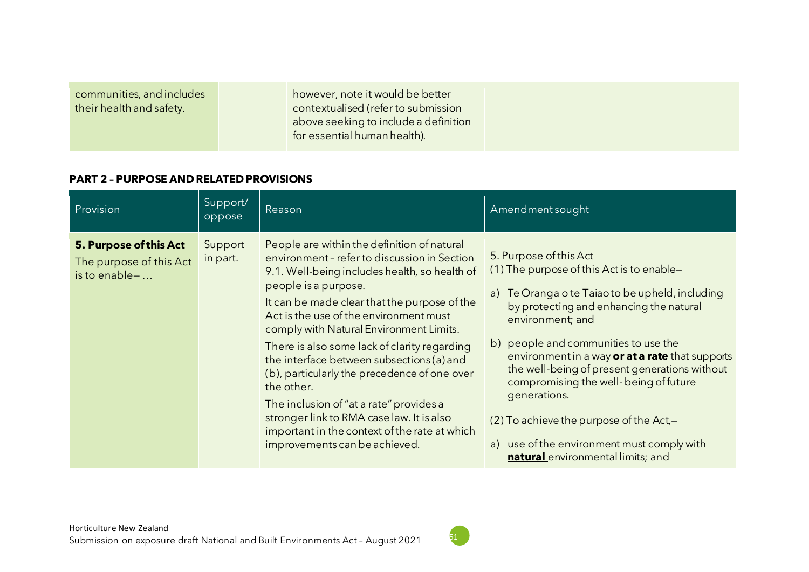|--|

#### **PART 2 – PURPOSE AND RELATED PROVISIONS**

| Provision                                                          | Support/<br>oppose  | Reason                                                                                                                                                                                                                                                                                                                                                                                                                                                                                                                                                                                                                                       | Amendment sought                                                                                                                                                                                                                                                                                                                                                                                                                                                                                                              |
|--------------------------------------------------------------------|---------------------|----------------------------------------------------------------------------------------------------------------------------------------------------------------------------------------------------------------------------------------------------------------------------------------------------------------------------------------------------------------------------------------------------------------------------------------------------------------------------------------------------------------------------------------------------------------------------------------------------------------------------------------------|-------------------------------------------------------------------------------------------------------------------------------------------------------------------------------------------------------------------------------------------------------------------------------------------------------------------------------------------------------------------------------------------------------------------------------------------------------------------------------------------------------------------------------|
| 5. Purpose of this Act<br>The purpose of this Act<br>is to enable- | Support<br>in part. | People are within the definition of natural<br>environment-refer to discussion in Section<br>9.1. Well-being includes health, so health of<br>people is a purpose.<br>It can be made clear that the purpose of the<br>Act is the use of the environment must<br>comply with Natural Environment Limits.<br>There is also some lack of clarity regarding<br>the interface between subsections (a) and<br>(b), particularly the precedence of one over<br>the other.<br>The inclusion of "at a rate" provides a<br>stronger link to RMA case law. It is also<br>important in the context of the rate at which<br>improvements can be achieved. | 5. Purpose of this Act<br>(1) The purpose of this Act is to enable-<br>Te Oranga o te Taiao to be upheld, including<br>a)<br>by protecting and enhancing the natural<br>environment; and<br>b) people and communities to use the<br>environment in a way or at a rate that supports<br>the well-being of present generations without<br>compromising the well-being of future<br>generations.<br>$(2)$ To achieve the purpose of the Act,-<br>a) use of the environment must comply with<br>natural environmental limits; and |

. . . . . . . . . . . . . . . . . . .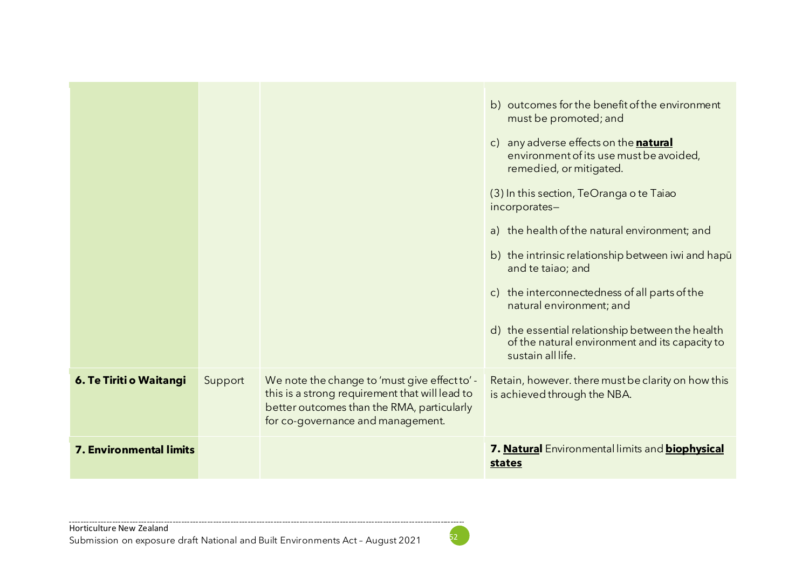|                                |         |                                                                                                                                                                                    | b) outcomes for the benefit of the environment<br>must be promoted; and<br>c) any adverse effects on the natural<br>environment of its use must be avoided,<br>remedied, or mitigated.<br>(3) In this section, TeOranga o te Taiao<br>incorporates-<br>a) the health of the natural environment; and<br>b) the intrinsic relationship between iwi and hapu<br>and te taiao; and<br>c) the interconnectedness of all parts of the<br>natural environment; and<br>d) the essential relationship between the health<br>of the natural environment and its capacity to<br>sustain all life. |
|--------------------------------|---------|------------------------------------------------------------------------------------------------------------------------------------------------------------------------------------|-----------------------------------------------------------------------------------------------------------------------------------------------------------------------------------------------------------------------------------------------------------------------------------------------------------------------------------------------------------------------------------------------------------------------------------------------------------------------------------------------------------------------------------------------------------------------------------------|
| 6. Te Tiriti o Waitangi        | Support | We note the change to 'must give effect to' -<br>this is a strong requirement that will lead to<br>better outcomes than the RMA, particularly<br>for co-governance and management. | Retain, however. there must be clarity on how this<br>is achieved through the NBA.                                                                                                                                                                                                                                                                                                                                                                                                                                                                                                      |
| <b>7. Environmental limits</b> |         |                                                                                                                                                                                    | 7. Natural Environmental limits and biophysical<br>states                                                                                                                                                                                                                                                                                                                                                                                                                                                                                                                               |

----------------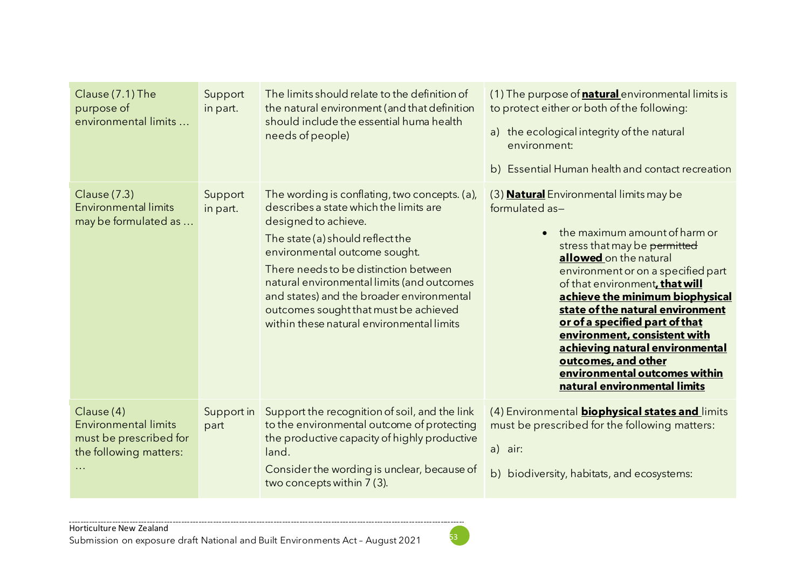| Clause (7.1) The<br>purpose of<br>environmental limits                                        | Support<br>in part. | The limits should relate to the definition of<br>the natural environment (and that definition<br>should include the essential huma health<br>needs of people)                                                                                                                                                                                                                                                  | (1) The purpose of <b>natural</b> environmental limits is<br>to protect either or both of the following:<br>a) the ecological integrity of the natural<br>environment:<br>b) Essential Human health and contact recreation                                                                                                                                                                                                                                                                              |
|-----------------------------------------------------------------------------------------------|---------------------|----------------------------------------------------------------------------------------------------------------------------------------------------------------------------------------------------------------------------------------------------------------------------------------------------------------------------------------------------------------------------------------------------------------|---------------------------------------------------------------------------------------------------------------------------------------------------------------------------------------------------------------------------------------------------------------------------------------------------------------------------------------------------------------------------------------------------------------------------------------------------------------------------------------------------------|
| Clause (7.3)<br><b>Environmental limits</b><br>may be formulated as                           | Support<br>in part. | The wording is conflating, two concepts. (a),<br>describes a state which the limits are<br>designed to achieve.<br>The state (a) should reflect the<br>environmental outcome sought.<br>There needs to be distinction between<br>natural environmental limits (and outcomes<br>and states) and the broader environmental<br>outcomes sought that must be achieved<br>within these natural environmental limits | (3) <b>Natural</b> Environmental limits may be<br>formulated as-<br>the maximum amount of harm or<br>stress that may be permitted<br>allowed on the natural<br>environment or on a specified part<br>of that environment, that will<br>achieve the minimum biophysical<br>state of the natural environment<br>or of a specified part of that<br>environment, consistent with<br>achieving natural environmental<br>outcomes, and other<br>environmental outcomes within<br>natural environmental limits |
| Clause (4)<br><b>Environmental limits</b><br>must be prescribed for<br>the following matters: | Support in<br>part  | Support the recognition of soil, and the link<br>to the environmental outcome of protecting<br>the productive capacity of highly productive<br>land.<br>Consider the wording is unclear, because of<br>two concepts within 7 (3).                                                                                                                                                                              | (4) Environmental <b>biophysical states and</b> limits<br>must be prescribed for the following matters:<br>a) air:<br>b) biodiversity, habitats, and ecosystems:                                                                                                                                                                                                                                                                                                                                        |

. . . . . . .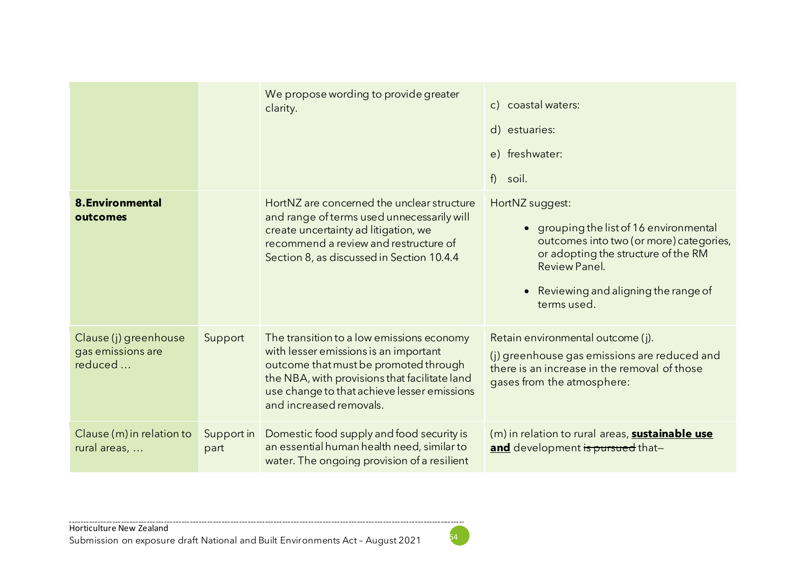|                                                       |                    | We propose wording to provide greater<br>clarity.                                                                                                                                                                                                      | c) coastal waters:<br>d) estuaries:<br>e) freshwater:<br>f<br>soil.                                                                                                                                                              |
|-------------------------------------------------------|--------------------|--------------------------------------------------------------------------------------------------------------------------------------------------------------------------------------------------------------------------------------------------------|----------------------------------------------------------------------------------------------------------------------------------------------------------------------------------------------------------------------------------|
| <b>8.Environmental</b><br>outcomes                    |                    | HortNZ are concerned the unclear structure<br>and range of terms used unnecessarily will<br>create uncertainty ad litigation, we<br>recommend a review and restructure of<br>Section 8, as discussed in Section 10.4.4                                 | HortNZ suggest:<br>grouping the list of 16 environmental<br>$\bullet$<br>outcomes into two (or more) categories,<br>or adopting the structure of the RM<br>Review Panel.<br>• Reviewing and aligning the range of<br>terms used. |
| Clause (j) greenhouse<br>gas emissions are<br>reduced | Support            | The transition to a low emissions economy<br>with lesser emissions is an important<br>outcome that must be promoted through<br>the NBA, with provisions that facilitate land<br>use change to that achieve lesser emissions<br>and increased removals. | Retain environmental outcome (j).<br>(j) greenhouse gas emissions are reduced and<br>there is an increase in the removal of those<br>gases from the atmosphere:                                                                  |
| Clause (m) in relation to<br>rural areas,             | Support in<br>part | Domestic food supply and food security is<br>an essential human health need, similar to<br>water. The ongoing provision of a resilient                                                                                                                 | (m) in relation to rural areas, <b>sustainable use</b><br>and development is pursued that-                                                                                                                                       |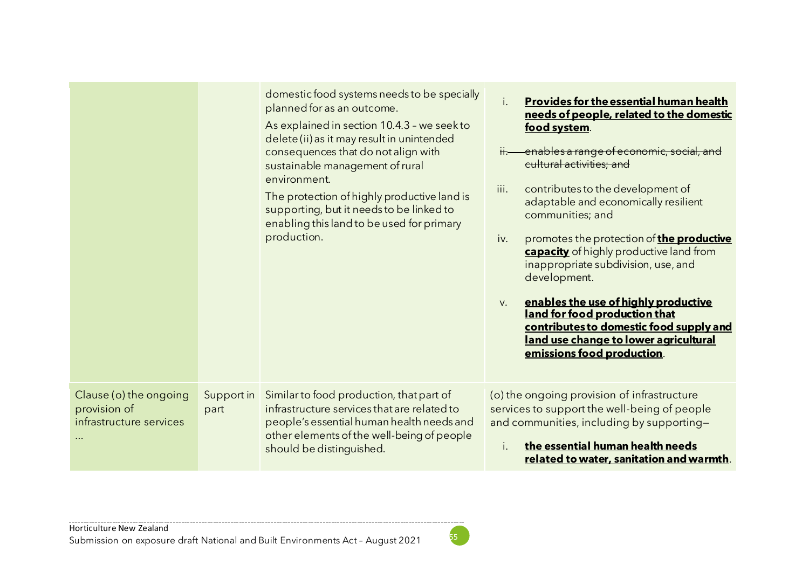|                                                                               |                    | domestic food systems needs to be specially<br>planned for as an outcome.<br>As explained in section 10.4.3 - we seek to<br>delete (ii) as it may result in unintended<br>consequences that do not align with<br>sustainable management of rural<br>environment.<br>The protection of highly productive land is<br>supporting, but it needs to be linked to<br>enabling this land to be used for primary<br>production. | <b>Provides for the essential human health</b><br>needs of people, related to the domestic<br>food system.<br>enables a range of economic, social, and<br>$\overline{\mathsf{H}}$ .<br>cultural activities; and<br>iii.<br>contributes to the development of<br>adaptable and economically resilient<br>communities; and<br>promotes the protection of the productive<br>iv.<br>capacity of highly productive land from<br>inappropriate subdivision, use, and<br>development.<br>enables the use of highly productive<br>V.<br>land for food production that<br>contributes to domestic food supply and<br>land use change to lower agricultural<br>emissions food production. |
|-------------------------------------------------------------------------------|--------------------|-------------------------------------------------------------------------------------------------------------------------------------------------------------------------------------------------------------------------------------------------------------------------------------------------------------------------------------------------------------------------------------------------------------------------|---------------------------------------------------------------------------------------------------------------------------------------------------------------------------------------------------------------------------------------------------------------------------------------------------------------------------------------------------------------------------------------------------------------------------------------------------------------------------------------------------------------------------------------------------------------------------------------------------------------------------------------------------------------------------------|
| Clause (o) the ongoing<br>provision of<br>infrastructure services<br>$\cdots$ | Support in<br>part | Similar to food production, that part of<br>infrastructure services that are related to<br>people's essential human health needs and<br>other elements of the well-being of people<br>should be distinguished.                                                                                                                                                                                                          | (o) the ongoing provision of infrastructure<br>services to support the well-being of people<br>and communities, including by supporting-<br>the essential human health needs<br>İ.<br>related to water, sanitation and warmth.                                                                                                                                                                                                                                                                                                                                                                                                                                                  |

-----------------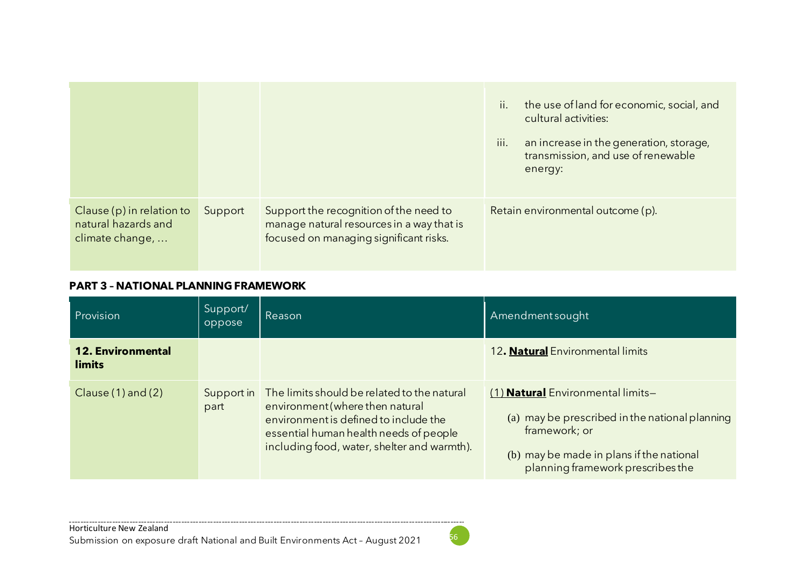|                                                                       |         |                                                                                                                               | ii.<br>the use of land for economic, social, and<br>cultural activities:<br>an increase in the generation, storage,<br>III.<br>transmission, and use of renewable<br>energy: |
|-----------------------------------------------------------------------|---------|-------------------------------------------------------------------------------------------------------------------------------|------------------------------------------------------------------------------------------------------------------------------------------------------------------------------|
| Clause $(p)$ in relation to<br>natural hazards and<br>climate change, | Support | Support the recognition of the need to<br>manage natural resources in a way that is<br>focused on managing significant risks. | Retain environmental outcome (p).                                                                                                                                            |

#### **PART 3 – NATIONAL PLANNING FRAMEWORK**

| Provision <sup>'</sup>             | Support/<br>oppose | Reason                                                                                                                                                                                                           | Amendmentsought                                                                                                                                                                              |
|------------------------------------|--------------------|------------------------------------------------------------------------------------------------------------------------------------------------------------------------------------------------------------------|----------------------------------------------------------------------------------------------------------------------------------------------------------------------------------------------|
| <b>12. Environmental</b><br>limits |                    |                                                                                                                                                                                                                  | 12. Natural Environmental limits                                                                                                                                                             |
| Clause $(1)$ and $(2)$             | Support in<br>part | The limits should be related to the natural<br>environment (where then natural<br>environment is defined to include the<br>essential human health needs of people<br>including food, water, shelter and warmth). | (1) <b>Natural</b> Environmental limits-<br>(a) may be prescribed in the national planning<br>framework; or<br>(b) may be made in plans if the national<br>planning framework prescribes the |

 $\sim$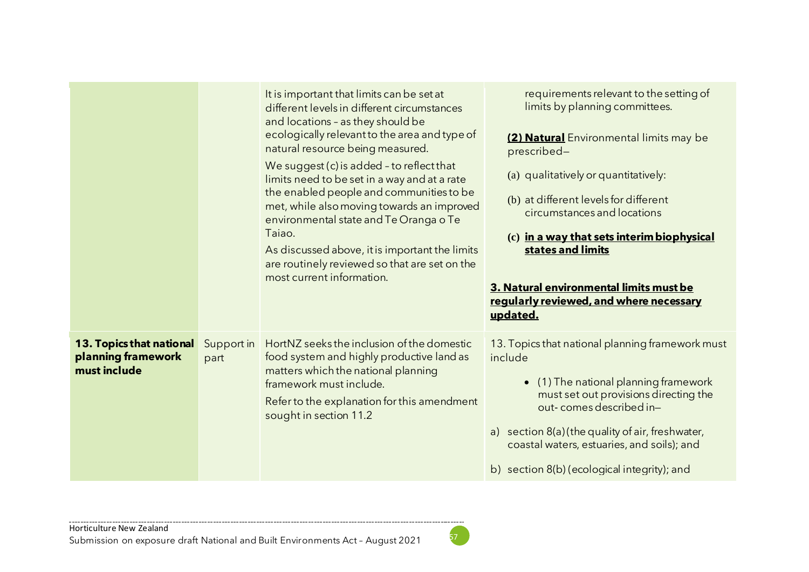|                                                                |                    | It is important that limits can be set at<br>different levels in different circumstances<br>and locations - as they should be<br>ecologically relevant to the area and type of<br>natural resource being measured.<br>We suggest (c) is added - to reflect that<br>limits need to be set in a way and at a rate<br>the enabled people and communities to be<br>met, while also moving towards an improved<br>environmental state and Te Oranga o Te<br>Taiao.<br>As discussed above, it is important the limits<br>are routinely reviewed so that are set on the<br>most current information. | requirements relevant to the setting of<br>limits by planning committees.<br>(2) Natural Environmental limits may be<br>prescribed-<br>(a) qualitatively or quantitatively:<br>(b) at different levels for different<br>circumstances and locations<br>(c) in a way that sets interim biophysical<br>states and limits<br>3. Natural environmental limits must be<br>regularly reviewed, and where necessary<br>updated. |
|----------------------------------------------------------------|--------------------|-----------------------------------------------------------------------------------------------------------------------------------------------------------------------------------------------------------------------------------------------------------------------------------------------------------------------------------------------------------------------------------------------------------------------------------------------------------------------------------------------------------------------------------------------------------------------------------------------|--------------------------------------------------------------------------------------------------------------------------------------------------------------------------------------------------------------------------------------------------------------------------------------------------------------------------------------------------------------------------------------------------------------------------|
| 13. Topics that national<br>planning framework<br>must include | Support in<br>part | HortNZ seeks the inclusion of the domestic<br>food system and highly productive land as<br>matters which the national planning<br>framework must include.<br>Refer to the explanation for this amendment<br>sought in section 11.2                                                                                                                                                                                                                                                                                                                                                            | 13. Topics that national planning framework must<br>include<br>(1) The national planning framework<br>$\bullet$<br>must set out provisions directing the<br>out-comes described in-<br>a) section 8(a) (the quality of air, freshwater,<br>coastal waters, estuaries, and soils); and<br>b) section 8(b) (ecological integrity); and                                                                                     |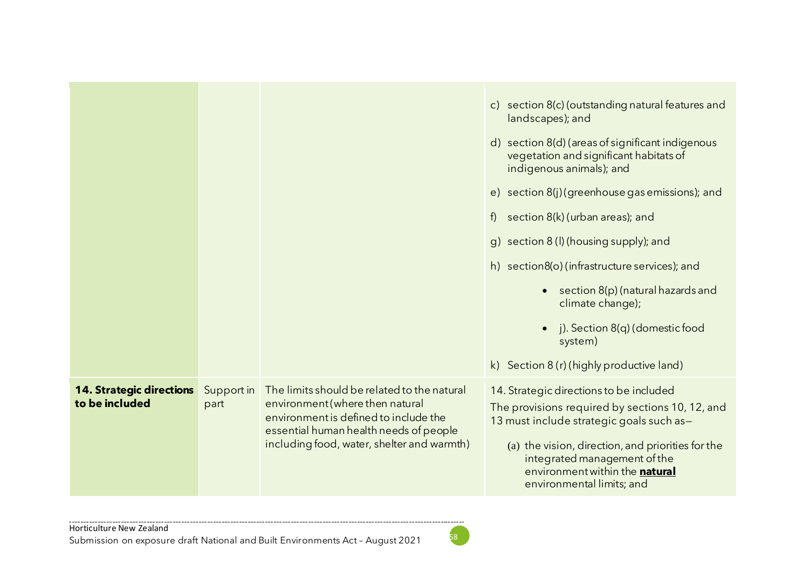|                                                   |                    |                                                                                                                                                                                                                 | c) section 8(c) (outstanding natural features and<br>landscapes); and<br>d) section 8(d) (areas of significant indigenous<br>vegetation and significant habitats of<br>indigenous animals); and<br>e) section 8(j)(greenhouse gas emissions); and<br>section 8(k) (urban areas); and<br>f)<br>g) section 8 (l) (housing supply); and<br>h) section8(o) (infrastructure services); and<br>section 8(p) (natural hazards and<br>climate change);<br>j). Section 8(q) (domestic food<br>$\bullet$<br>system)<br>k) Section 8 (r) (highly productive land) |
|---------------------------------------------------|--------------------|-----------------------------------------------------------------------------------------------------------------------------------------------------------------------------------------------------------------|--------------------------------------------------------------------------------------------------------------------------------------------------------------------------------------------------------------------------------------------------------------------------------------------------------------------------------------------------------------------------------------------------------------------------------------------------------------------------------------------------------------------------------------------------------|
| <b>14. Strategic directions</b><br>to be included | Support in<br>part | The limits should be related to the natural<br>environment (where then natural<br>environment is defined to include the<br>essential human health needs of people<br>including food, water, shelter and warmth) | 14. Strategic directions to be included<br>The provisions required by sections 10, 12, and<br>13 must include strategic goals such as-<br>(a) the vision, direction, and priorities for the<br>integrated management of the<br>environment within the natural<br>environmental limits; and                                                                                                                                                                                                                                                             |

--------------